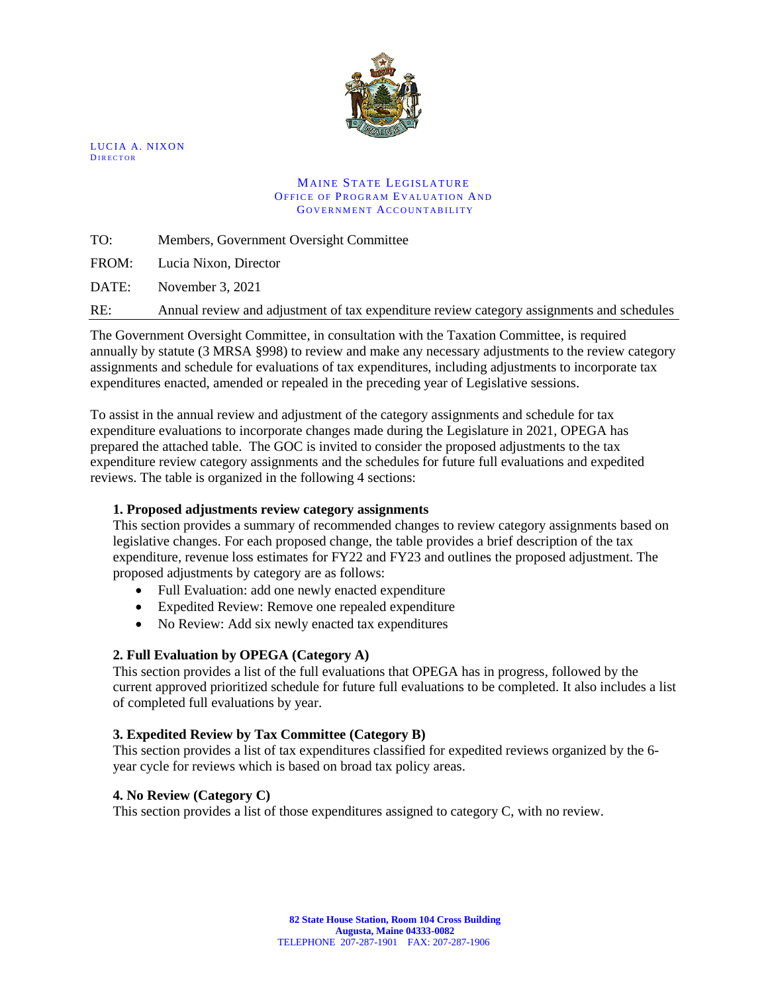

LUCIA A. NIXON **DIRECTOR** 

#### **MAINE STATE LEGISLATURE** OFFICE OF PROGRAM EVALUATION AND GOVERNMENT ACCOUNTABILITY

TO: Members, Government Oversight Committee

FROM: Lucia Nixon, Director

DATE: November 3, 2021

RE: Annual review and adjustment of tax expenditure review category assignments and schedules

The Government Oversight Committee, in consultation with the Taxation Committee, is required annually by statute (3 MRSA §998) to review and make any necessary adjustments to the review category assignments and schedule for evaluations of tax expenditures, including adjustments to incorporate tax expenditures enacted, amended or repealed in the preceding year of Legislative sessions.

To assist in the annual review and adjustment of the category assignments and schedule for tax expenditure evaluations to incorporate changes made during the Legislature in 2021, OPEGA has prepared the attached table. The GOC is invited to consider the proposed adjustments to the tax expenditure review category assignments and the schedules for future full evaluations and expedited reviews. The table is organized in the following 4 sections:

#### **1. Proposed adjustments review category assignments**

This section provides a summary of recommended changes to review category assignments based on legislative changes. For each proposed change, the table provides a brief description of the tax expenditure, revenue loss estimates for FY22 and FY23 and outlines the proposed adjustment. The proposed adjustments by category are as follows:

- Full Evaluation: add one newly enacted expenditure
- Expedited Review: Remove one repealed expenditure
- No Review: Add six newly enacted tax expenditures

#### **2. Full Evaluation by OPEGA (Category A)**

This section provides a list of the full evaluations that OPEGA has in progress, followed by the current approved prioritized schedule for future full evaluations to be completed. It also includes a list of completed full evaluations by year.

#### **3. Expedited Review by Tax Committee (Category B)**

This section provides a list of tax expenditures classified for expedited reviews organized by the 6 year cycle for reviews which is based on broad tax policy areas.

#### **4. No Review (Category C)**

This section provides a list of those expenditures assigned to category C, with no review.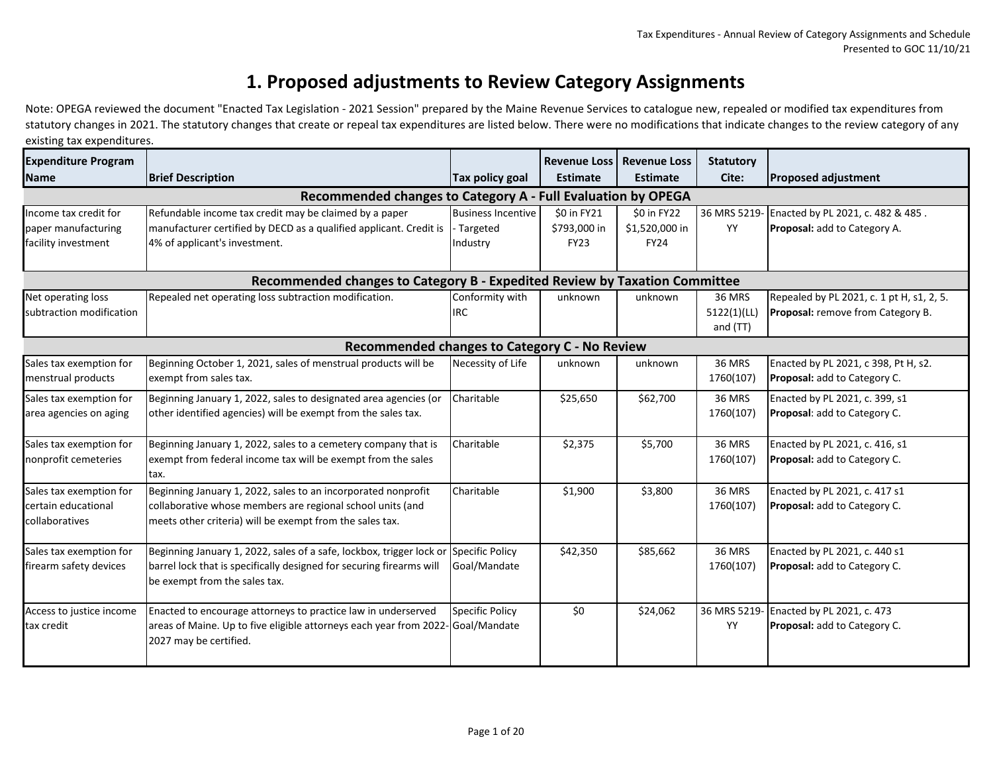#### **1. Proposed adjustments to Review Category Assignments**

**FY22 FY23** Note: OPEGA reviewed the document "Enacted Tax Legislation - 2021 Session" prepared by the Maine Revenue Services to catalogue new, repealed or modified tax expenditures from statutory changes in 2021. The statutory changes that create or repeal tax expenditures are listed below. There were no modifications that indicate changes to the review category of any existing tax expenditures.

| <b>Expenditure Program</b><br><b>Name</b>                                  | <b>Brief Description</b>                                                                                                                                                                                                      | <b>Tax policy goal</b>                            | <b>Revenue Loss Revenue Loss</b><br><b>Estimate</b> | <b>Estimate</b>                              | <b>Statutory</b><br>Cite:         | <b>Proposed adjustment</b>                                                     |  |  |
|----------------------------------------------------------------------------|-------------------------------------------------------------------------------------------------------------------------------------------------------------------------------------------------------------------------------|---------------------------------------------------|-----------------------------------------------------|----------------------------------------------|-----------------------------------|--------------------------------------------------------------------------------|--|--|
|                                                                            |                                                                                                                                                                                                                               |                                                   |                                                     |                                              |                                   |                                                                                |  |  |
| Income tax credit for<br>paper manufacturing<br>facility investment        | Recommended changes to Category A - Full Evaluation by OPEGA<br>Refundable income tax credit may be claimed by a paper<br>manufacturer certified by DECD as a qualified applicant. Credit is<br>4% of applicant's investment. | <b>Business Incentive</b><br>Targeted<br>Industry | \$0 in FY21<br>\$793,000 in<br><b>FY23</b>          | \$0 in FY22<br>\$1,520,000 in<br><b>FY24</b> | YY                                | 36 MRS 5219- Enacted by PL 2021, c. 482 & 485.<br>Proposal: add to Category A. |  |  |
| Recommended changes to Category B - Expedited Review by Taxation Committee |                                                                                                                                                                                                                               |                                                   |                                                     |                                              |                                   |                                                                                |  |  |
| Net operating loss<br>subtraction modification                             | Repealed net operating loss subtraction modification.                                                                                                                                                                         | Conformity with<br><b>IRC</b>                     | unknown                                             | unknown                                      | 36 MRS<br>5122(1)(LL)<br>and (TT) | Repealed by PL 2021, c. 1 pt H, s1, 2, 5.<br>Proposal: remove from Category B. |  |  |
|                                                                            | <b>Recommended changes to Category C - No Review</b>                                                                                                                                                                          |                                                   |                                                     |                                              |                                   |                                                                                |  |  |
| Sales tax exemption for<br>menstrual products                              | Beginning October 1, 2021, sales of menstrual products will be<br>exempt from sales tax.                                                                                                                                      | Necessity of Life                                 | unknown                                             | unknown                                      | <b>36 MRS</b><br>1760(107)        | Enacted by PL 2021, c 398, Pt H, s2.<br>Proposal: add to Category C.           |  |  |
| Sales tax exemption for<br>area agencies on aging                          | Beginning January 1, 2022, sales to designated area agencies (or<br>other identified agencies) will be exempt from the sales tax.                                                                                             | Charitable                                        | \$25,650                                            | \$62,700                                     | <b>36 MRS</b><br>1760(107)        | Enacted by PL 2021, c. 399, s1<br>Proposal: add to Category C.                 |  |  |
| Sales tax exemption for<br>nonprofit cemeteries                            | Beginning January 1, 2022, sales to a cemetery company that is<br>exempt from federal income tax will be exempt from the sales<br>tax.                                                                                        | Charitable                                        | \$2,375                                             | \$5,700                                      | <b>36 MRS</b><br>1760(107)        | Enacted by PL 2021, c. 416, s1<br>Proposal: add to Category C.                 |  |  |
| Sales tax exemption for<br>certain educational<br>collaboratives           | Beginning January 1, 2022, sales to an incorporated nonprofit<br>collaborative whose members are regional school units (and<br>meets other criteria) will be exempt from the sales tax.                                       | Charitable                                        | \$1,900                                             | \$3,800                                      | 36 MRS<br>1760(107)               | Enacted by PL 2021, c. 417 s1<br>Proposal: add to Category C.                  |  |  |
| Sales tax exemption for<br>firearm safety devices                          | Beginning January 1, 2022, sales of a safe, lockbox, trigger lock of<br>barrel lock that is specifically designed for securing firearms will<br>be exempt from the sales tax.                                                 | Specific Policy<br>Goal/Mandate                   | \$42,350                                            | \$85,662                                     | 36 MRS<br>1760(107)               | Enacted by PL 2021, c. 440 s1<br>Proposal: add to Category C.                  |  |  |
| Access to justice income<br>tax credit                                     | Enacted to encourage attorneys to practice law in underserved<br>areas of Maine. Up to five eligible attorneys each year from 2022-Goal/Mandate<br>2027 may be certified.                                                     | <b>Specific Policy</b>                            | \$0                                                 | \$24,062                                     | YY                                | 36 MRS 5219- Enacted by PL 2021, c. 473<br>Proposal: add to Category C.        |  |  |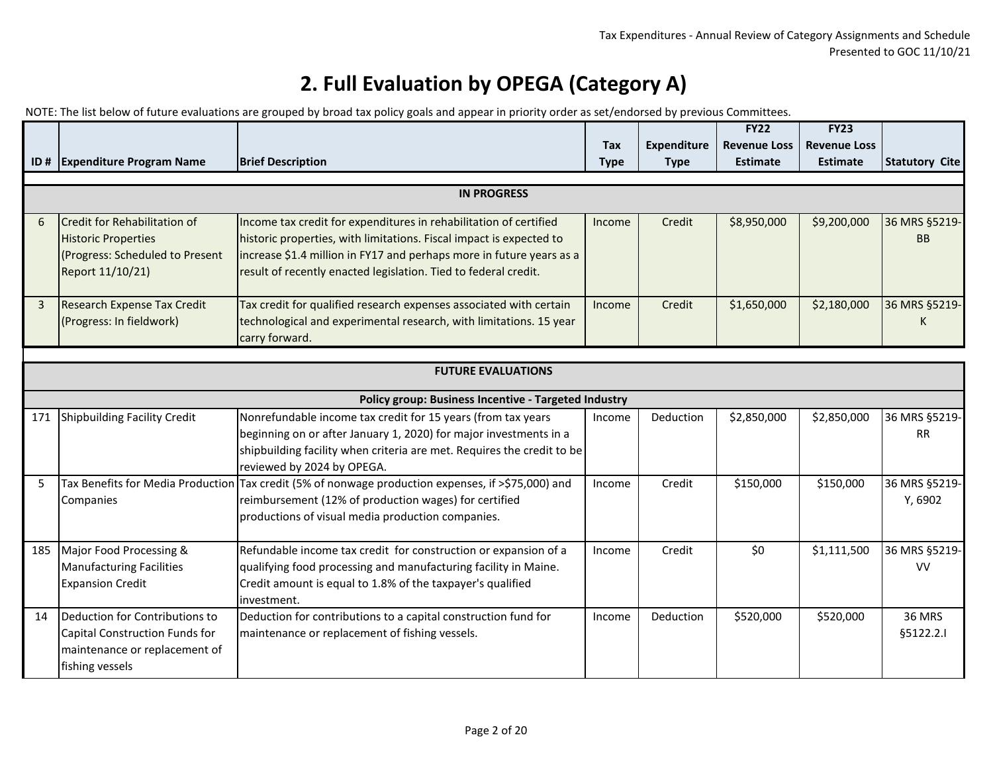|                |                                                                                                                      |                                                                                                                                                                                                                                                                                     |             |                    | <b>FY22</b>         | FY23                |                            |  |
|----------------|----------------------------------------------------------------------------------------------------------------------|-------------------------------------------------------------------------------------------------------------------------------------------------------------------------------------------------------------------------------------------------------------------------------------|-------------|--------------------|---------------------|---------------------|----------------------------|--|
|                |                                                                                                                      | <b>Brief Description</b>                                                                                                                                                                                                                                                            | <b>Tax</b>  | <b>Expenditure</b> | <b>Revenue Loss</b> | <b>Revenue Loss</b> |                            |  |
|                | ID # Expenditure Program Name                                                                                        |                                                                                                                                                                                                                                                                                     | <b>Type</b> | <b>Type</b>        | <b>Estimate</b>     | <b>Estimate</b>     | <b>Statutory Cite</b>      |  |
|                | <b>IN PROGRESS</b>                                                                                                   |                                                                                                                                                                                                                                                                                     |             |                    |                     |                     |                            |  |
| 6              | Credit for Rehabilitation of<br><b>Historic Properties</b><br>(Progress: Scheduled to Present<br>Report 11/10/21)    | Income tax credit for expenditures in rehabilitation of certified<br>historic properties, with limitations. Fiscal impact is expected to<br>increase \$1.4 million in FY17 and perhaps more in future years as a<br>result of recently enacted legislation. Tied to federal credit. | Income      | Credit             | \$8,950,000         | \$9,200,000         | 36 MRS §5219-<br><b>BB</b> |  |
| $\overline{3}$ | <b>Research Expense Tax Credit</b><br>(Progress: In fieldwork)                                                       | Tax credit for qualified research expenses associated with certain<br>technological and experimental research, with limitations. 15 year<br>carry forward.                                                                                                                          | Income      | Credit             | \$1,650,000         | \$2,180,000         | 36 MRS §5219-<br>K         |  |
|                |                                                                                                                      |                                                                                                                                                                                                                                                                                     |             |                    |                     |                     |                            |  |
|                | <b>FUTURE EVALUATIONS</b>                                                                                            |                                                                                                                                                                                                                                                                                     |             |                    |                     |                     |                            |  |
|                |                                                                                                                      | Policy group: Business Incentive - Targeted Industry                                                                                                                                                                                                                                |             |                    |                     |                     |                            |  |
| 171            | Shipbuilding Facility Credit                                                                                         | Nonrefundable income tax credit for 15 years (from tax years<br>beginning on or after January 1, 2020) for major investments in a<br>shipbuilding facility when criteria are met. Requires the credit to be<br>reviewed by 2024 by OPEGA.                                           | Income      | Deduction          | \$2,850,000         | \$2,850,000         | 36 MRS §5219-<br><b>RR</b> |  |
| 5              | Companies                                                                                                            | Tax Benefits for Media Production Tax credit (5% of nonwage production expenses, if >\$75,000) and<br>reimbursement (12% of production wages) for certified<br>productions of visual media production companies.                                                                    | Income      | Credit             | \$150,000           | \$150,000           | 36 MRS §5219-<br>Y, 6902   |  |
| 185            | Major Food Processing &<br><b>Manufacturing Facilities</b><br><b>Expansion Credit</b>                                | Refundable income tax credit for construction or expansion of a<br>qualifying food processing and manufacturing facility in Maine.<br>Credit amount is equal to 1.8% of the taxpayer's qualified<br>investment.                                                                     | Income      | Credit             | \$0                 | \$1,111,500         | 36 MRS §5219-<br><b>VV</b> |  |
| 14             | Deduction for Contributions to<br>Capital Construction Funds for<br>maintenance or replacement of<br>fishing vessels | Deduction for contributions to a capital construction fund for<br>maintenance or replacement of fishing vessels.                                                                                                                                                                    | Income      | Deduction          | \$520,000           | \$520,000           | <b>36 MRS</b><br>§5122.2.1 |  |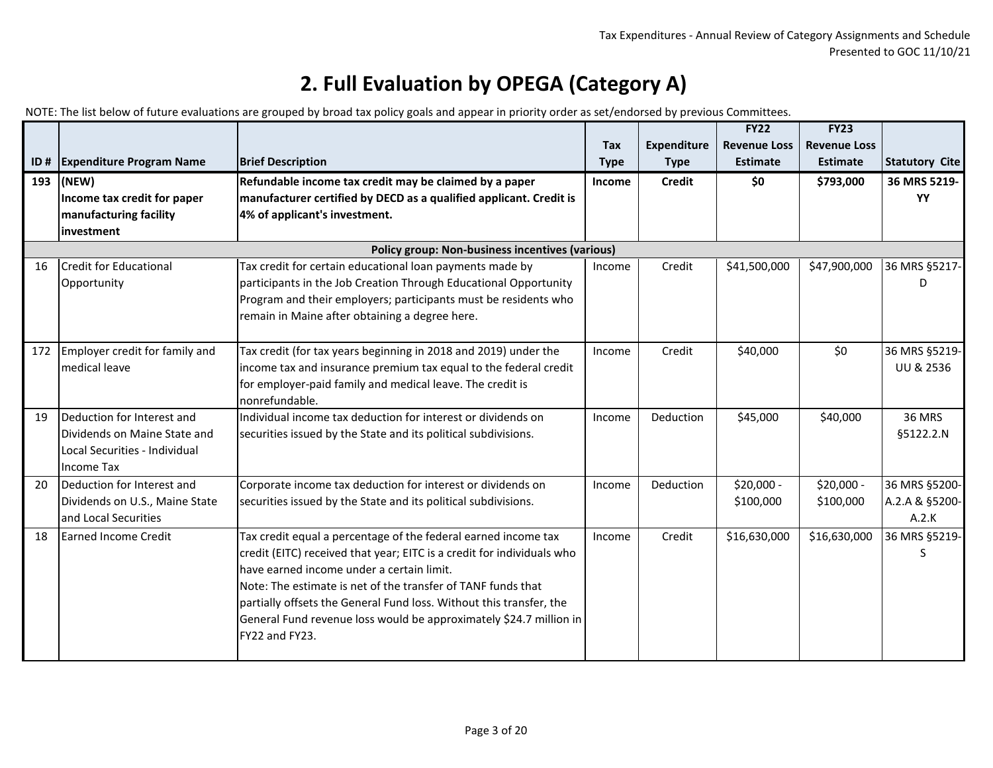|     |                                                                                                                  |                                                                                                                                                                                                                                                                                                                                                                                                                      | Tax           | <b>Expenditure</b> | <b>FY22</b><br><b>Revenue Loss</b> | <b>FY23</b><br><b>Revenue Loss</b> |                                          |
|-----|------------------------------------------------------------------------------------------------------------------|----------------------------------------------------------------------------------------------------------------------------------------------------------------------------------------------------------------------------------------------------------------------------------------------------------------------------------------------------------------------------------------------------------------------|---------------|--------------------|------------------------------------|------------------------------------|------------------------------------------|
| ID# | <b>Expenditure Program Name</b>                                                                                  | <b>Brief Description</b>                                                                                                                                                                                                                                                                                                                                                                                             | <b>Type</b>   | <b>Type</b>        | <b>Estimate</b>                    | <b>Estimate</b>                    | <b>Statutory Cite</b>                    |
| 193 | (NEW)<br>Income tax credit for paper<br>manufacturing facility<br>investment                                     | Refundable income tax credit may be claimed by a paper<br>manufacturer certified by DECD as a qualified applicant. Credit is<br>4% of applicant's investment.                                                                                                                                                                                                                                                        | <b>Income</b> | <b>Credit</b>      | \$0                                | \$793,000                          | 36 MRS 5219-<br>YY                       |
|     |                                                                                                                  | <b>Policy group: Non-business incentives (various)</b>                                                                                                                                                                                                                                                                                                                                                               |               |                    |                                    |                                    |                                          |
| 16  | Credit for Educational<br>Opportunity                                                                            | Tax credit for certain educational loan payments made by<br>participants in the Job Creation Through Educational Opportunity<br>Program and their employers; participants must be residents who<br>remain in Maine after obtaining a degree here.                                                                                                                                                                    | Income        | Credit             | \$41,500,000                       | \$47,900,000                       | 36 MRS §5217-<br>D                       |
|     | 172 Employer credit for family and<br>medical leave                                                              | Tax credit (for tax years beginning in 2018 and 2019) under the<br>income tax and insurance premium tax equal to the federal credit<br>for employer-paid family and medical leave. The credit is<br>nonrefundable.                                                                                                                                                                                                   | Income        | Credit             | \$40,000                           | \$0                                | 36 MRS §5219-<br><b>UU &amp; 2536</b>    |
| 19  | Deduction for Interest and<br>Dividends on Maine State and<br>Local Securities - Individual<br><b>Income Tax</b> | Individual income tax deduction for interest or dividends on<br>securities issued by the State and its political subdivisions.                                                                                                                                                                                                                                                                                       | Income        | Deduction          | \$45,000                           | \$40,000                           | <b>36 MRS</b><br>§5122.2.N               |
| 20  | Deduction for Interest and<br>Dividends on U.S., Maine State<br>land Local Securities                            | Corporate income tax deduction for interest or dividends on<br>securities issued by the State and its political subdivisions.                                                                                                                                                                                                                                                                                        | Income        | Deduction          | \$20,000 -<br>\$100,000            | \$20,000 -<br>\$100,000            | 36 MRS §5200-<br>A.2.A & §5200-<br>A.2.K |
| 18  | Earned Income Credit                                                                                             | Tax credit equal a percentage of the federal earned income tax<br>credit (EITC) received that year; EITC is a credit for individuals who<br>have earned income under a certain limit.<br>Note: The estimate is net of the transfer of TANF funds that<br>partially offsets the General Fund loss. Without this transfer, the<br>General Fund revenue loss would be approximately \$24.7 million in<br>FY22 and FY23. | Income        | Credit             | \$16,630,000                       | \$16,630,000                       | 36 MRS §5219-<br>S                       |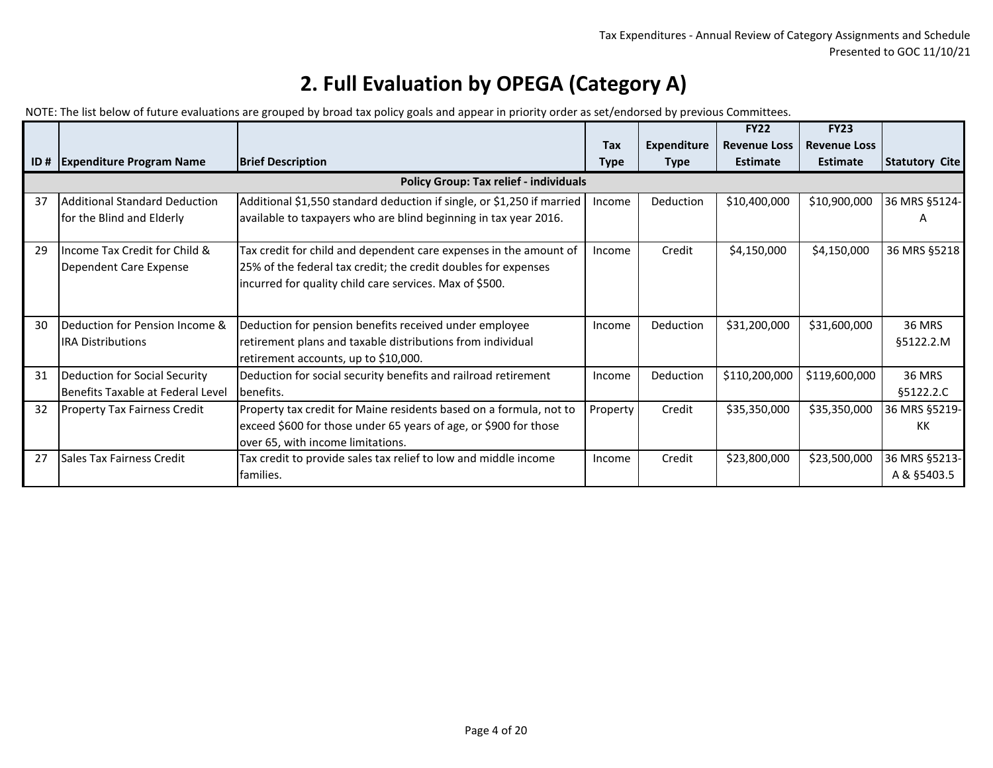|     |                                      |                                                                        |             |                    | <b>FY22</b>         | <b>FY23</b>         |                       |
|-----|--------------------------------------|------------------------------------------------------------------------|-------------|--------------------|---------------------|---------------------|-----------------------|
|     |                                      |                                                                        | <b>Tax</b>  | <b>Expenditure</b> | <b>Revenue Loss</b> | <b>Revenue Loss</b> |                       |
| ID# | <b>Expenditure Program Name</b>      | <b>Brief Description</b>                                               | <b>Type</b> | <b>Type</b>        | <b>Estimate</b>     | <b>Estimate</b>     | <b>Statutory Cite</b> |
|     |                                      | <b>Policy Group: Tax relief - individuals</b>                          |             |                    |                     |                     |                       |
| 37  | <b>Additional Standard Deduction</b> | Additional \$1,550 standard deduction if single, or \$1,250 if married | Income      | Deduction          | \$10,400,000        | \$10,900,000        | 36 MRS §5124-         |
|     | for the Blind and Elderly            | available to taxpayers who are blind beginning in tax year 2016.       |             |                    |                     |                     | А                     |
| 29  | Income Tax Credit for Child &        | Tax credit for child and dependent care expenses in the amount of      | Income      | Credit             | \$4,150,000         | \$4,150,000         | 36 MRS §5218          |
|     | Dependent Care Expense               | 25% of the federal tax credit; the credit doubles for expenses         |             |                    |                     |                     |                       |
|     |                                      | incurred for quality child care services. Max of \$500.                |             |                    |                     |                     |                       |
|     |                                      |                                                                        |             |                    |                     |                     |                       |
| 30  | Deduction for Pension Income &       | Deduction for pension benefits received under employee                 | Income      | Deduction          | \$31,200,000        | \$31,600,000        | <b>36 MRS</b>         |
|     | <b>IRA Distributions</b>             | retirement plans and taxable distributions from individual             |             |                    |                     |                     | §5122.2.M             |
|     |                                      | retirement accounts, up to \$10,000.                                   |             |                    |                     |                     |                       |
| 31  | Deduction for Social Security        | Deduction for social security benefits and railroad retirement         | Income      | Deduction          | \$110,200,000       | \$119,600,000       | <b>36 MRS</b>         |
|     | Benefits Taxable at Federal Level    | benefits.                                                              |             |                    |                     |                     | §5122.2.C             |
| 32  | <b>Property Tax Fairness Credit</b>  | Property tax credit for Maine residents based on a formula, not to     | Property    | Credit             | \$35,350,000        | \$35,350,000        | 36 MRS §5219-         |
|     |                                      | exceed \$600 for those under 65 years of age, or \$900 for those       |             |                    |                     |                     | КK                    |
|     |                                      | lover 65, with income limitations.                                     |             |                    |                     |                     |                       |
| 27  | <b>Sales Tax Fairness Credit</b>     | Tax credit to provide sales tax relief to low and middle income        | Income      | Credit             | \$23,800,000        | \$23,500,000        | 36 MRS §5213-         |
|     |                                      | families.                                                              |             |                    |                     |                     | A & §5403.5           |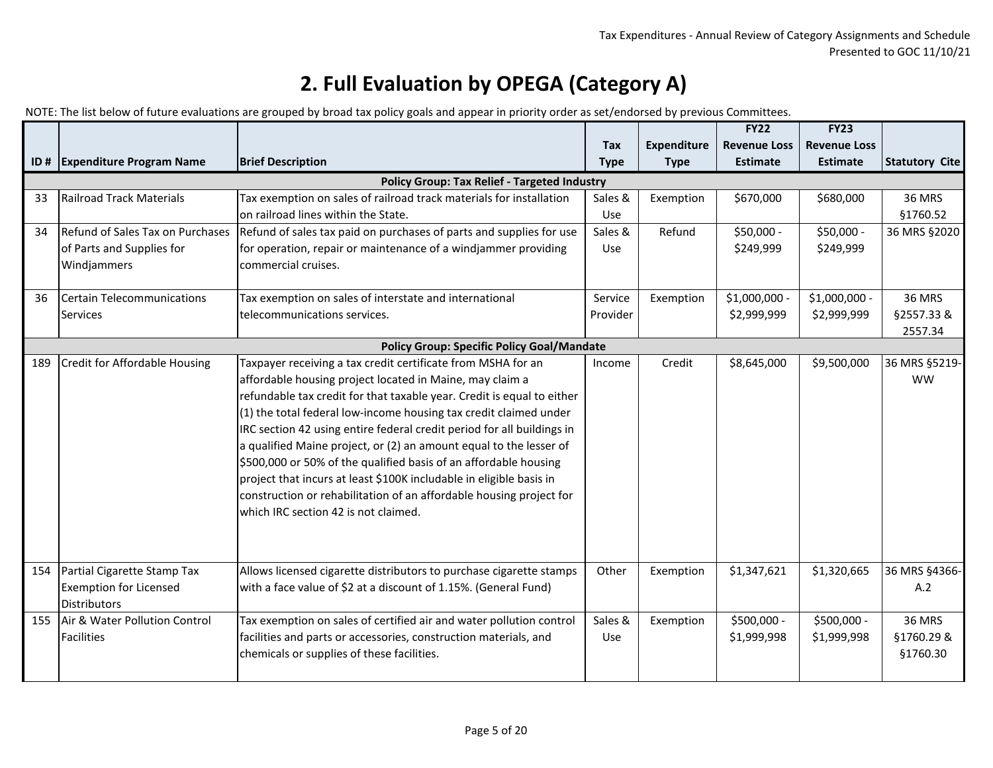|     |                                      |                                                                                                                                    |             |                    | FY22                | FY23                |                            |
|-----|--------------------------------------|------------------------------------------------------------------------------------------------------------------------------------|-------------|--------------------|---------------------|---------------------|----------------------------|
|     |                                      |                                                                                                                                    | Tax         | <b>Expenditure</b> | <b>Revenue Loss</b> | <b>Revenue Loss</b> |                            |
|     | ID # Expenditure Program Name        | <b>Brief Description</b>                                                                                                           | <b>Type</b> | <b>Type</b>        | <b>Estimate</b>     | <b>Estimate</b>     | <b>Statutory Cite</b>      |
|     |                                      | Policy Group: Tax Relief - Targeted Industry                                                                                       |             |                    |                     |                     |                            |
| 33  | <b>Railroad Track Materials</b>      | Tax exemption on sales of railroad track materials for installation                                                                | Sales &     | Exemption          | \$670,000           | \$680,000           | <b>36 MRS</b>              |
|     |                                      | on railroad lines within the State.                                                                                                | Use         |                    |                     |                     | \$1760.52                  |
| 34  | Refund of Sales Tax on Purchases     | Refund of sales tax paid on purchases of parts and supplies for use                                                                | Sales &     | Refund             | \$50,000 -          | \$50,000 -          | 36 MRS §2020               |
|     | of Parts and Supplies for            | for operation, repair or maintenance of a windjammer providing                                                                     | Use         |                    | \$249,999           | \$249,999           |                            |
|     | Windjammers                          | commercial cruises.                                                                                                                |             |                    |                     |                     |                            |
|     |                                      |                                                                                                                                    |             |                    |                     |                     |                            |
| 36  | <b>Certain Telecommunications</b>    | Tax exemption on sales of interstate and international                                                                             | Service     | Exemption          | \$1,000,000 -       | \$1,000,000 -       | <b>36 MRS</b>              |
|     | <b>Services</b>                      | telecommunications services.                                                                                                       | Provider    |                    | \$2,999,999         | \$2,999,999         | §2557.33 &                 |
|     |                                      |                                                                                                                                    |             |                    |                     |                     | 2557.34                    |
|     |                                      | <b>Policy Group: Specific Policy Goal/Mandate</b>                                                                                  |             |                    |                     |                     |                            |
| 189 | <b>Credit for Affordable Housing</b> | Taxpayer receiving a tax credit certificate from MSHA for an                                                                       | Income      | Credit             | \$8,645,000         | \$9,500,000         | 36 MRS §5219-<br><b>WW</b> |
|     |                                      | affordable housing project located in Maine, may claim a<br>refundable tax credit for that taxable year. Credit is equal to either |             |                    |                     |                     |                            |
|     |                                      |                                                                                                                                    |             |                    |                     |                     |                            |
|     |                                      | (1) the total federal low-income housing tax credit claimed under                                                                  |             |                    |                     |                     |                            |
|     |                                      | IRC section 42 using entire federal credit period for all buildings in                                                             |             |                    |                     |                     |                            |
|     |                                      | a qualified Maine project, or (2) an amount equal to the lesser of                                                                 |             |                    |                     |                     |                            |
|     |                                      | \$500,000 or 50% of the qualified basis of an affordable housing                                                                   |             |                    |                     |                     |                            |
|     |                                      | project that incurs at least \$100K includable in eligible basis in                                                                |             |                    |                     |                     |                            |
|     |                                      | construction or rehabilitation of an affordable housing project for                                                                |             |                    |                     |                     |                            |
|     |                                      | which IRC section 42 is not claimed.                                                                                               |             |                    |                     |                     |                            |
|     |                                      |                                                                                                                                    |             |                    |                     |                     |                            |
|     |                                      |                                                                                                                                    |             |                    |                     |                     |                            |
| 154 | Partial Cigarette Stamp Tax          | Allows licensed cigarette distributors to purchase cigarette stamps                                                                | Other       | Exemption          | \$1,347,621         | \$1,320,665         | 36 MRS §4366-              |
|     | <b>Exemption for Licensed</b>        | with a face value of \$2 at a discount of 1.15%. (General Fund)                                                                    |             |                    |                     |                     | A.2                        |
|     | <b>Distributors</b>                  |                                                                                                                                    |             |                    |                     |                     |                            |
| 155 | Air & Water Pollution Control        | Tax exemption on sales of certified air and water pollution control                                                                | Sales &     | Exemption          | \$500,000 -         | \$500,000 -         | <b>36 MRS</b>              |
|     | Facilities                           | facilities and parts or accessories, construction materials, and                                                                   | Use         |                    | \$1,999,998         | \$1,999,998         | §1760.29 &                 |
|     |                                      | chemicals or supplies of these facilities.                                                                                         |             |                    |                     |                     | §1760.30                   |
|     |                                      |                                                                                                                                    |             |                    |                     |                     |                            |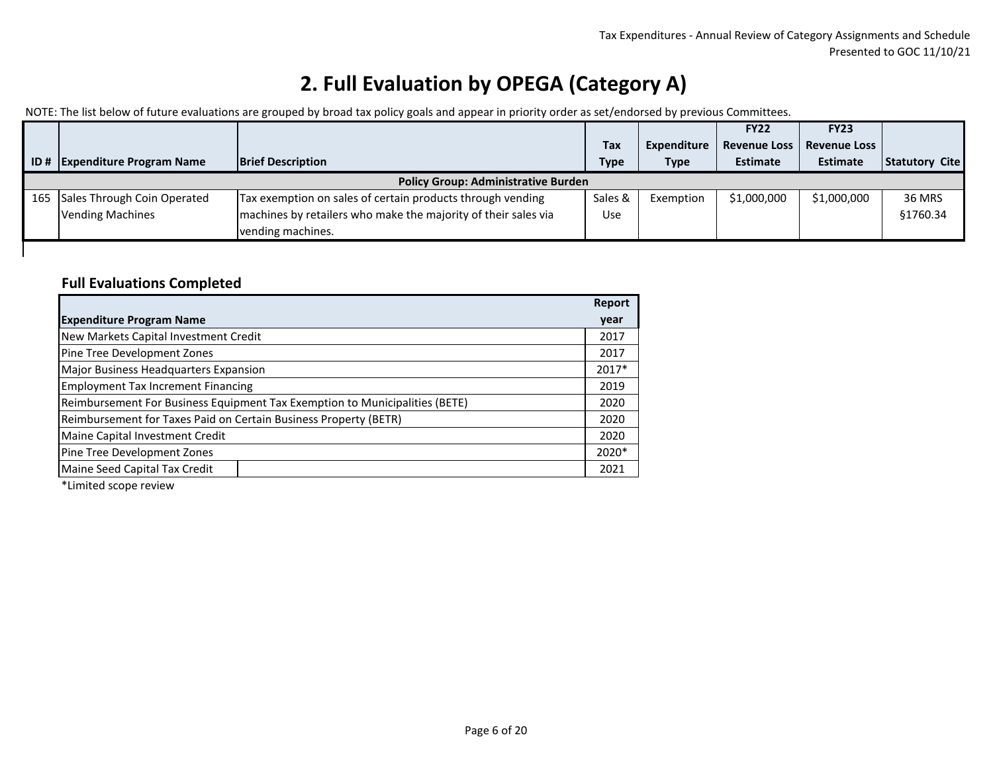NOTE: The list below of future evaluations are grouped by broad tax policy goals and appear in priority order as set/endorsed by previous Committees.

|     |                                 |                                                                |             |             | <b>FY22</b>         | <b>FY23</b>         |                       |
|-----|---------------------------------|----------------------------------------------------------------|-------------|-------------|---------------------|---------------------|-----------------------|
|     |                                 |                                                                | Tax         | Expenditure | <b>Revenue Loss</b> | <b>Revenue Loss</b> |                       |
| ID# | <b>Expenditure Program Name</b> | <b>Brief Description</b>                                       | <b>Type</b> | <b>Type</b> | <b>Estimate</b>     | <b>Estimate</b>     | <b>Statutory Cite</b> |
|     |                                 | <b>Policy Group: Administrative Burden</b>                     |             |             |                     |                     |                       |
| 165 | Sales Through Coin Operated     | Tax exemption on sales of certain products through vending     | Sales &     | Exemption   | \$1,000,000         | \$1,000,000         | <b>36 MRS</b>         |
|     | <b>Vending Machines</b>         | machines by retailers who make the majority of their sales via | <b>Use</b>  |             |                     |                     | \$1760.34             |
|     |                                 | vending machines.                                              |             |             |                     |                     |                       |
|     |                                 |                                                                |             |             |                     |                     |                       |

#### **Full Evaluations Completed**

|                                                                             | Report |
|-----------------------------------------------------------------------------|--------|
| <b>Expenditure Program Name</b>                                             | year   |
| New Markets Capital Investment Credit                                       | 2017   |
| Pine Tree Development Zones                                                 | 2017   |
| Major Business Headquarters Expansion                                       | 2017*  |
| <b>Employment Tax Increment Financing</b>                                   | 2019   |
| Reimbursement For Business Equipment Tax Exemption to Municipalities (BETE) | 2020   |
| Reimbursement for Taxes Paid on Certain Business Property (BETR)            | 2020   |
| Maine Capital Investment Credit                                             | 2020   |
| Pine Tree Development Zones                                                 | 2020*  |
| Maine Seed Capital Tax Credit                                               | 2021   |

\*Limited scope review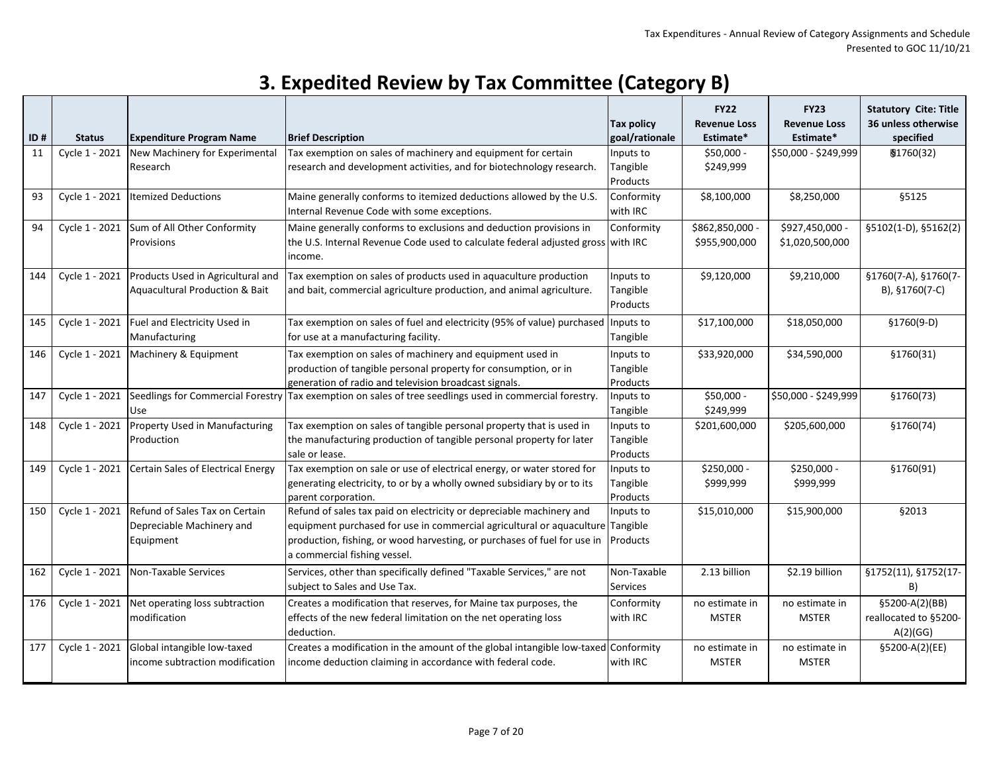|     |                |                                           |                                                                                             | Tax policy            | <b>FY22</b><br><b>Revenue Loss</b> | <b>FY23</b><br><b>Revenue Loss</b> | <b>Statutory Cite: Title</b><br>36 unless otherwise |
|-----|----------------|-------------------------------------------|---------------------------------------------------------------------------------------------|-----------------------|------------------------------------|------------------------------------|-----------------------------------------------------|
| ID# | <b>Status</b>  | <b>Expenditure Program Name</b>           | <b>Brief Description</b>                                                                    | goal/rationale        | Estimate*                          | Estimate*                          | specified                                           |
| 11  | Cycle 1 - 2021 | New Machinery for Experimental            | Tax exemption on sales of machinery and equipment for certain                               | Inputs to             | $$50,000 -$                        | \$50,000 - \$249,999               | \$1760(32)                                          |
|     |                | Research                                  | research and development activities, and for biotechnology research.                        | Tangible              | \$249,999                          |                                    |                                                     |
|     |                |                                           |                                                                                             | Products              |                                    |                                    |                                                     |
| 93  | Cycle 1 - 2021 | <b>Itemized Deductions</b>                | Maine generally conforms to itemized deductions allowed by the U.S.                         | Conformity            | \$8,100,000                        | \$8,250,000                        | §5125                                               |
|     |                |                                           | Internal Revenue Code with some exceptions.                                                 | with IRC              |                                    |                                    |                                                     |
| 94  | Cycle 1 - 2021 | Sum of All Other Conformity               | Maine generally conforms to exclusions and deduction provisions in                          | Conformity            | \$862,850,000 -                    | \$927,450,000 -                    | §5102(1-D), §5162(2)                                |
|     |                | Provisions                                | the U.S. Internal Revenue Code used to calculate federal adjusted gross with IRC            |                       | \$955,900,000                      | \$1,020,500,000                    |                                                     |
|     |                |                                           | income.                                                                                     |                       |                                    |                                    |                                                     |
| 144 | Cycle 1 - 2021 | Products Used in Agricultural and         | Tax exemption on sales of products used in aquaculture production                           | Inputs to             | \$9,120,000                        | \$9,210,000                        | §1760(7-A), §1760(7-                                |
|     |                | <b>Aquacultural Production &amp; Bait</b> | and bait, commercial agriculture production, and animal agriculture.                        | Tangible              |                                    |                                    | B), §1760(7-C)                                      |
|     |                |                                           |                                                                                             | Products              |                                    |                                    |                                                     |
| 145 | Cycle 1 - 2021 | Fuel and Electricity Used in              | Tax exemption on sales of fuel and electricity (95% of value) purchased                     | Inputs to             | \$17,100,000                       | \$18,050,000                       | $$1760(9-D)$                                        |
|     |                | Manufacturing                             | for use at a manufacturing facility.                                                        | Tangible              |                                    |                                    |                                                     |
| 146 | Cycle 1 - 2021 | Machinery & Equipment                     | Tax exemption on sales of machinery and equipment used in                                   | Inputs to             | \$33,920,000                       | \$34,590,000                       | \$1760(31)                                          |
|     |                |                                           | production of tangible personal property for consumption, or in                             | Tangible              |                                    |                                    |                                                     |
|     |                |                                           | generation of radio and television broadcast signals.                                       | Products              |                                    |                                    |                                                     |
| 147 | Cycle 1 - 2021 | Seedlings for Commercial Forestry         | Tax exemption on sales of tree seedlings used in commercial forestry.                       | Inputs to             | $$50,000 -$                        | \$50,000 - \$249,999               | \$1760(73)                                          |
|     |                | Use                                       |                                                                                             | Tangible              | \$249,999                          |                                    |                                                     |
| 148 | Cycle 1 - 2021 | Property Used in Manufacturing            | Tax exemption on sales of tangible personal property that is used in                        | Inputs to             | \$201,600,000                      | \$205,600,000                      | \$1760(74)                                          |
|     |                | Production                                | the manufacturing production of tangible personal property for later                        | Tangible              |                                    |                                    |                                                     |
|     |                |                                           | sale or lease.                                                                              | Products              |                                    |                                    |                                                     |
| 149 | Cycle 1 - 2021 | Certain Sales of Electrical Energy        | Tax exemption on sale or use of electrical energy, or water stored for                      | Inputs to             | \$250,000 -                        | \$250,000 -                        | §1760(91)                                           |
|     |                |                                           | generating electricity, to or by a wholly owned subsidiary by or to its                     | Tangible              | \$999,999                          | \$999,999                          |                                                     |
| 150 | Cycle 1 - 2021 | Refund of Sales Tax on Certain            | parent corporation.<br>Refund of sales tax paid on electricity or depreciable machinery and | Products<br>Inputs to | \$15,010,000                       | \$15,900,000                       | §2013                                               |
|     |                | Depreciable Machinery and                 | equipment purchased for use in commercial agricultural or aquaculture                       | Tangible              |                                    |                                    |                                                     |
|     |                | Equipment                                 | production, fishing, or wood harvesting, or purchases of fuel for use in                    | Products              |                                    |                                    |                                                     |
|     |                |                                           | a commercial fishing vessel.                                                                |                       |                                    |                                    |                                                     |
| 162 | Cycle 1 - 2021 | Non-Taxable Services                      | Services, other than specifically defined "Taxable Services," are not                       | Non-Taxable           | 2.13 billion                       | \$2.19 billion                     | §1752(11), §1752(17-                                |
|     |                |                                           | subject to Sales and Use Tax.                                                               | <b>Services</b>       |                                    |                                    | B)                                                  |
| 176 | Cycle 1 - 2021 | Net operating loss subtraction            | Creates a modification that reserves, for Maine tax purposes, the                           | Conformity            | no estimate in                     | no estimate in                     | §5200-A(2)(BB)                                      |
|     |                | modification                              | effects of the new federal limitation on the net operating loss                             | with IRC              | <b>MSTER</b>                       | <b>MSTER</b>                       | reallocated to §5200-                               |
|     |                |                                           | deduction.                                                                                  |                       |                                    |                                    | A(2)(GG)                                            |
| 177 | Cycle 1 - 2021 | Global intangible low-taxed               | Creates a modification in the amount of the global intangible low-taxed Conformity          |                       | no estimate in                     | no estimate in                     | §5200-A(2)(EE)                                      |
|     |                | income subtraction modification           | income deduction claiming in accordance with federal code.                                  | with IRC              | <b>MSTER</b>                       | <b>MSTER</b>                       |                                                     |
|     |                |                                           |                                                                                             |                       |                                    |                                    |                                                     |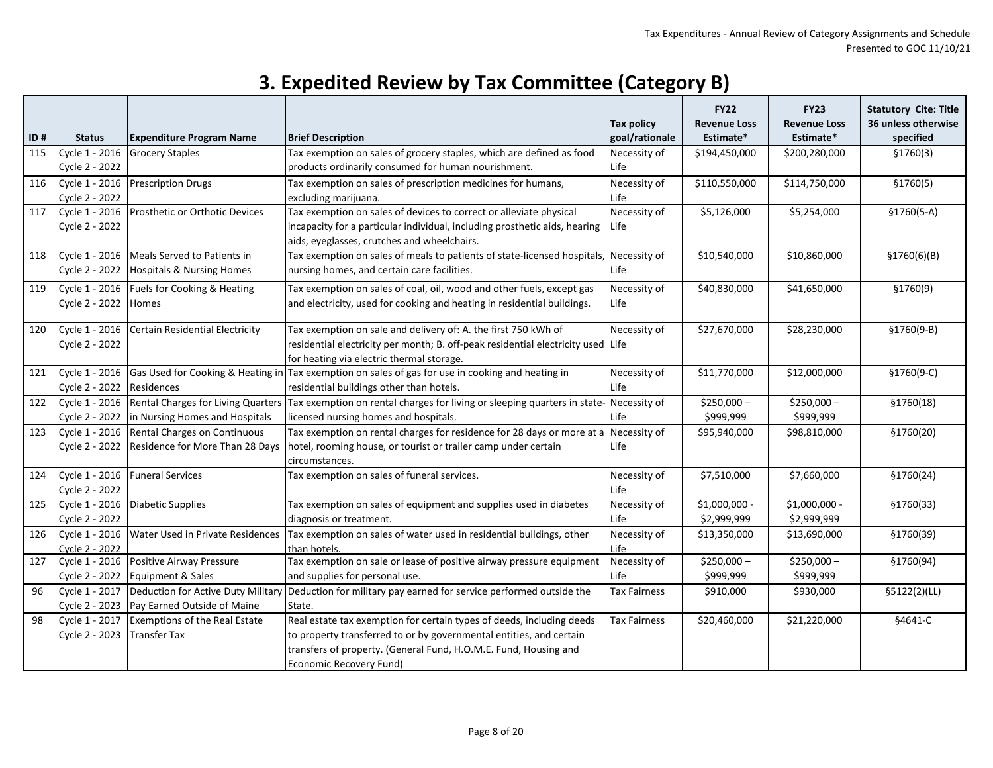| 3. Expedited Review by Tax Committee (Category B) |  |  |
|---------------------------------------------------|--|--|
|---------------------------------------------------|--|--|

|     |                                  |                                                                   |                                                                                                                          | <b>Tax policy</b>   | <b>FY22</b><br><b>Revenue Loss</b> | <b>FY23</b><br><b>Revenue Loss</b> | <b>Statutory Cite: Title</b><br>36 unless otherwise |
|-----|----------------------------------|-------------------------------------------------------------------|--------------------------------------------------------------------------------------------------------------------------|---------------------|------------------------------------|------------------------------------|-----------------------------------------------------|
| ID# | <b>Status</b>                    | <b>Expenditure Program Name</b>                                   | <b>Brief Description</b>                                                                                                 | goal/rationale      | Estimate*                          | Estimate*                          | specified                                           |
| 115 | Cycle 1 - 2016                   | <b>Grocery Staples</b>                                            | Tax exemption on sales of grocery staples, which are defined as food                                                     | Necessity of        | \$194,450,000                      | \$200,280,000                      | \$1760(3)                                           |
|     | Cycle 2 - 2022                   |                                                                   | products ordinarily consumed for human nourishment.                                                                      | Life                |                                    |                                    |                                                     |
| 116 | Cycle 1 - 2016                   | <b>Prescription Drugs</b>                                         | Tax exemption on sales of prescription medicines for humans,                                                             | Necessity of        | \$110,550,000                      | \$114,750,000                      | \$1760(5)                                           |
|     | Cycle 2 - 2022                   |                                                                   | excluding marijuana.                                                                                                     | Life                |                                    |                                    |                                                     |
| 117 | Cycle 1 - 2016                   | Prosthetic or Orthotic Devices                                    | Tax exemption on sales of devices to correct or alleviate physical                                                       | Necessity of        | \$5,126,000                        | \$5,254,000                        | $$1760(5-A)$                                        |
|     | Cycle 2 - 2022                   |                                                                   | incapacity for a particular individual, including prosthetic aids, hearing                                               | Life                |                                    |                                    |                                                     |
|     |                                  |                                                                   | aids, eyeglasses, crutches and wheelchairs.                                                                              |                     |                                    |                                    |                                                     |
| 118 | Cycle 1 - 2016                   | Meals Served to Patients in                                       | Tax exemption on sales of meals to patients of state-licensed hospitals,                                                 | Necessity of        | \$10,540,000                       | \$10,860,000                       | \$1760(6)(B)                                        |
|     | Cycle 2 - 2022                   | <b>Hospitals &amp; Nursing Homes</b>                              | nursing homes, and certain care facilities.                                                                              | Life                |                                    |                                    |                                                     |
| 119 |                                  | Cycle 1 - 2016   Fuels for Cooking & Heating                      | Tax exemption on sales of coal, oil, wood and other fuels, except gas                                                    | Necessity of        | \$40,830,000                       | \$41,650,000                       | \$1760(9)                                           |
|     | Cycle 2 - 2022                   | <b>Homes</b>                                                      | and electricity, used for cooking and heating in residential buildings.                                                  | Life                |                                    |                                    |                                                     |
| 120 | Cycle 1 - 2016                   | Certain Residential Electricity                                   | Tax exemption on sale and delivery of: A. the first 750 kWh of                                                           | Necessity of        | \$27,670,000                       | \$28,230,000                       | $$1760(9-B)$                                        |
|     | Cycle 2 - 2022                   |                                                                   | residential electricity per month; B. off-peak residential electricity used Life                                         |                     |                                    |                                    |                                                     |
|     |                                  |                                                                   | for heating via electric thermal storage.                                                                                |                     |                                    |                                    |                                                     |
| 121 |                                  |                                                                   | Cycle 1 - 2016 Gas Used for Cooking & Heating in $\vert$ Tax exemption on sales of gas for use in cooking and heating in | Necessity of        | \$11,770,000                       | \$12,000,000                       | §1760(9-C)                                          |
|     | Cycle 2 - 2022                   | Residences                                                        | residential buildings other than hotels.                                                                                 | Life                |                                    |                                    |                                                     |
| 122 |                                  | Cycle 1 - 2016 Rental Charges for Living Quarters                 | Tax exemption on rental charges for living or sleeping quarters in state-                                                | Necessity of        | $$250,000-$                        | $$250,000-$                        | \$1760(18)                                          |
|     | Cycle 2 - 2022                   | in Nursing Homes and Hospitals                                    | licensed nursing homes and hospitals.                                                                                    | Life                | \$999,999                          | \$999,999                          |                                                     |
| 123 | Cycle 1 - 2016                   | Rental Charges on Continuous                                      | Tax exemption on rental charges for residence for 28 days or more at a                                                   | Necessity of        | \$95,940,000                       | \$98,810,000                       | \$1760(20)                                          |
|     | Cycle 2 - 2022                   | Residence for More Than 28 Days                                   | hotel, rooming house, or tourist or trailer camp under certain<br>circumstances.                                         | Life                |                                    |                                    |                                                     |
| 124 | Cycle 1 - 2016                   | <b>Funeral Services</b>                                           | Tax exemption on sales of funeral services.                                                                              | Necessity of        | \$7,510,000                        | \$7,660,000                        | \$1760(24)                                          |
|     | Cycle 2 - 2022                   |                                                                   |                                                                                                                          | Life                |                                    |                                    |                                                     |
| 125 | Cycle 1 - 2016                   | Diabetic Supplies                                                 | Tax exemption on sales of equipment and supplies used in diabetes                                                        | Necessity of        | \$1,000,000 -                      | \$1,000,000 -                      | \$1760(33)                                          |
|     | Cycle 2 - 2022                   |                                                                   | diagnosis or treatment.                                                                                                  | Life                | \$2,999,999                        | \$2,999,999                        |                                                     |
| 126 | Cycle 1 - 2016                   | Water Used in Private Residences                                  | Tax exemption on sales of water used in residential buildings, other                                                     | Necessity of        | \$13,350,000                       | \$13,690,000                       | \$1760(39)                                          |
|     | Cycle 2 - 2022                   |                                                                   | than hotels.                                                                                                             | Life                |                                    |                                    |                                                     |
| 127 | Cycle 1 - 2016                   | Positive Airway Pressure                                          | Tax exemption on sale or lease of positive airway pressure equipment                                                     | Necessity of        | $$250,000-$                        | $$250,000-$                        | §1760(94)                                           |
|     | Cycle 2 - 2022                   | Equipment & Sales                                                 | and supplies for personal use.                                                                                           | Life                | \$999,999                          | \$999,999                          |                                                     |
| 96  | Cycle 1 - 2017<br>Cycle 2 - 2023 | Deduction for Active Duty Military<br>Pay Earned Outside of Maine | Deduction for military pay earned for service performed outside the<br>State.                                            | <b>Tax Fairness</b> | \$910,000                          | \$930,000                          | §5122(2)(LL)                                        |
| 98  | Cycle 1 - 2017                   | Exemptions of the Real Estate                                     | Real estate tax exemption for certain types of deeds, including deeds                                                    | <b>Tax Fairness</b> | \$20,460,000                       | \$21,220,000                       | §4641-C                                             |
|     | Cycle 2 - 2023                   | <b>Transfer Tax</b>                                               | to property transferred to or by governmental entities, and certain                                                      |                     |                                    |                                    |                                                     |
|     |                                  |                                                                   | transfers of property. (General Fund, H.O.M.E. Fund, Housing and                                                         |                     |                                    |                                    |                                                     |
|     |                                  |                                                                   | Economic Recovery Fund)                                                                                                  |                     |                                    |                                    |                                                     |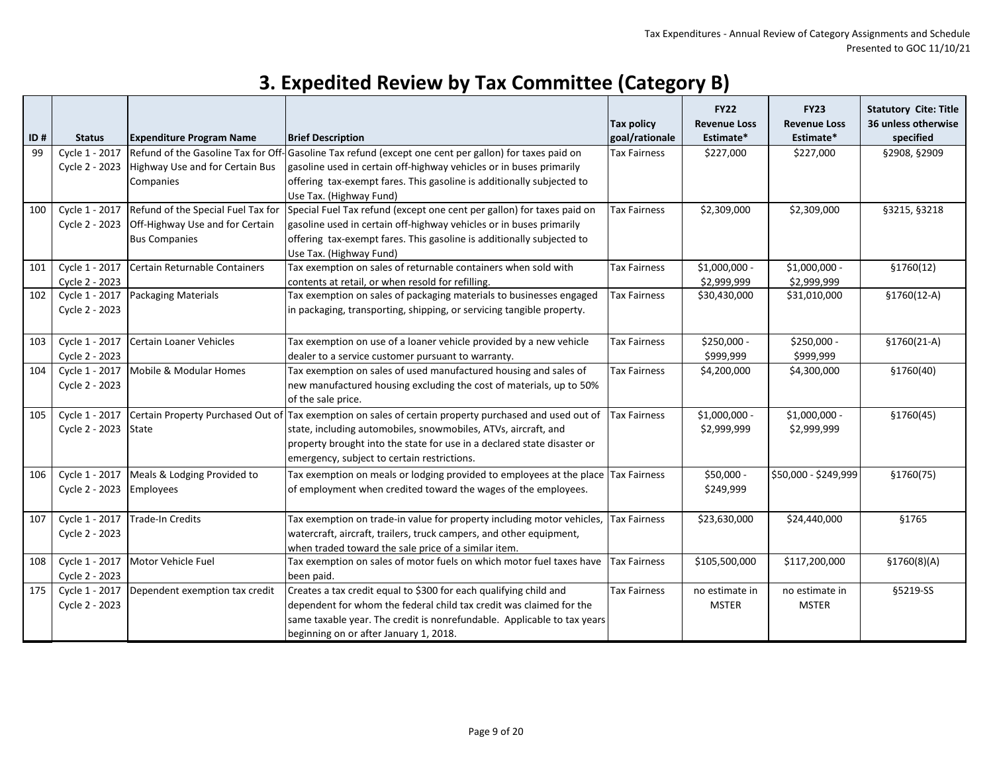| ID# | <b>Status</b>                    | <b>Expenditure Program Name</b>                                                               | <b>Brief Description</b>                                                                                                                                                                                                                                                                           | <b>Tax policy</b><br>goal/rationale | <b>FY22</b><br><b>Revenue Loss</b><br>Estimate* | <b>FY23</b><br><b>Revenue Loss</b><br>Estimate* | <b>Statutory Cite: Title</b><br>36 unless otherwise<br>specified |
|-----|----------------------------------|-----------------------------------------------------------------------------------------------|----------------------------------------------------------------------------------------------------------------------------------------------------------------------------------------------------------------------------------------------------------------------------------------------------|-------------------------------------|-------------------------------------------------|-------------------------------------------------|------------------------------------------------------------------|
| 99  | Cycle 1 - 2017<br>Cycle 2 - 2023 | Refund of the Gasoline Tax for Off<br>Highway Use and for Certain Bus<br>Companies            | -<br> -Gasoline Tax refund (except one cent per gallon) for taxes paid on<br>gasoline used in certain off-highway vehicles or in buses primarily<br>offering tax-exempt fares. This gasoline is additionally subjected to<br>Use Tax. (Highway Fund)                                               | Tax Fairness                        | \$227,000                                       | \$227,000                                       | §2908, §2909                                                     |
| 100 | Cycle 1 - 2017<br>Cycle 2 - 2023 | Refund of the Special Fuel Tax for<br>Off-Highway Use and for Certain<br><b>Bus Companies</b> | Special Fuel Tax refund (except one cent per gallon) for taxes paid on<br>gasoline used in certain off-highway vehicles or in buses primarily<br>offering tax-exempt fares. This gasoline is additionally subjected to<br>Use Tax. (Highway Fund)                                                  | Tax Fairness                        | \$2,309,000                                     | \$2,309,000                                     | §3215, §3218                                                     |
| 101 | Cycle 1 - 2017<br>Cycle 2 - 2023 | Certain Returnable Containers                                                                 | Tax exemption on sales of returnable containers when sold with<br>contents at retail, or when resold for refilling.                                                                                                                                                                                | <b>Tax Fairness</b>                 | $$1,000,000 -$<br>\$2,999,999                   | $$1,000,000 -$<br>\$2,999,999                   | \$1760(12)                                                       |
| 102 | Cycle 1 - 2017<br>Cycle 2 - 2023 | <b>Packaging Materials</b>                                                                    | Tax exemption on sales of packaging materials to businesses engaged<br>in packaging, transporting, shipping, or servicing tangible property.                                                                                                                                                       | <b>Tax Fairness</b>                 | \$30,430,000                                    | \$31,010,000                                    | $$1760(12-A)$                                                    |
| 103 | Cycle 1 - 2017<br>Cycle 2 - 2023 | <b>Certain Loaner Vehicles</b>                                                                | Tax exemption on use of a loaner vehicle provided by a new vehicle<br>dealer to a service customer pursuant to warranty.                                                                                                                                                                           | Tax Fairness                        | \$250,000 -<br>\$999,999                        | \$250,000 -<br>\$999,999                        | $$1760(21-A)$                                                    |
| 104 | Cycle 1 - 2017<br>Cycle 2 - 2023 | Mobile & Modular Homes                                                                        | Tax exemption on sales of used manufactured housing and sales of<br>new manufactured housing excluding the cost of materials, up to 50%<br>of the sale price.                                                                                                                                      | Tax Fairness                        | \$4,200,000                                     | \$4,300,000                                     | \$1760(40)                                                       |
| 105 | Cycle 1 - 2017<br>Cycle 2 - 2023 | State                                                                                         | Certain Property Purchased Out of Tax exemption on sales of certain property purchased and used out of<br>state, including automobiles, snowmobiles, ATVs, aircraft, and<br>property brought into the state for use in a declared state disaster or<br>emergency, subject to certain restrictions. | <b>Tax Fairness</b>                 | \$1,000,000 -<br>\$2,999,999                    | \$1,000,000 -<br>\$2,999,999                    | \$1760(45)                                                       |
| 106 | Cycle 1 - 2017<br>Cycle 2 - 2023 | Meals & Lodging Provided to<br>Employees                                                      | Tax exemption on meals or lodging provided to employees at the place<br>of employment when credited toward the wages of the employees.                                                                                                                                                             | <b>Tax Fairness</b>                 | \$50,000 -<br>\$249,999                         | \$50,000 - \$249,999                            | \$1760(75)                                                       |
| 107 | Cycle 1 - 2017<br>Cycle 2 - 2023 | Trade-In Credits                                                                              | Tax exemption on trade-in value for property including motor vehicles,<br>watercraft, aircraft, trailers, truck campers, and other equipment,<br>when traded toward the sale price of a similar item.                                                                                              | <b>Tax Fairness</b>                 | \$23,630,000                                    | \$24,440,000                                    | §1765                                                            |
| 108 | Cycle 1 - 2017<br>Cycle 2 - 2023 | Motor Vehicle Fuel                                                                            | Tax exemption on sales of motor fuels on which motor fuel taxes have<br>been paid.                                                                                                                                                                                                                 | <b>Tax Fairness</b>                 | \$105,500,000                                   | \$117,200,000                                   | \$1760(8)(A)                                                     |
| 175 | Cycle 1 - 2017<br>Cycle 2 - 2023 | Dependent exemption tax credit                                                                | Creates a tax credit equal to \$300 for each qualifying child and<br>dependent for whom the federal child tax credit was claimed for the<br>same taxable year. The credit is nonrefundable. Applicable to tax years<br>beginning on or after January 1, 2018.                                      | Tax Fairness                        | no estimate in<br><b>MSTER</b>                  | no estimate in<br><b>MSTER</b>                  | §5219-SS                                                         |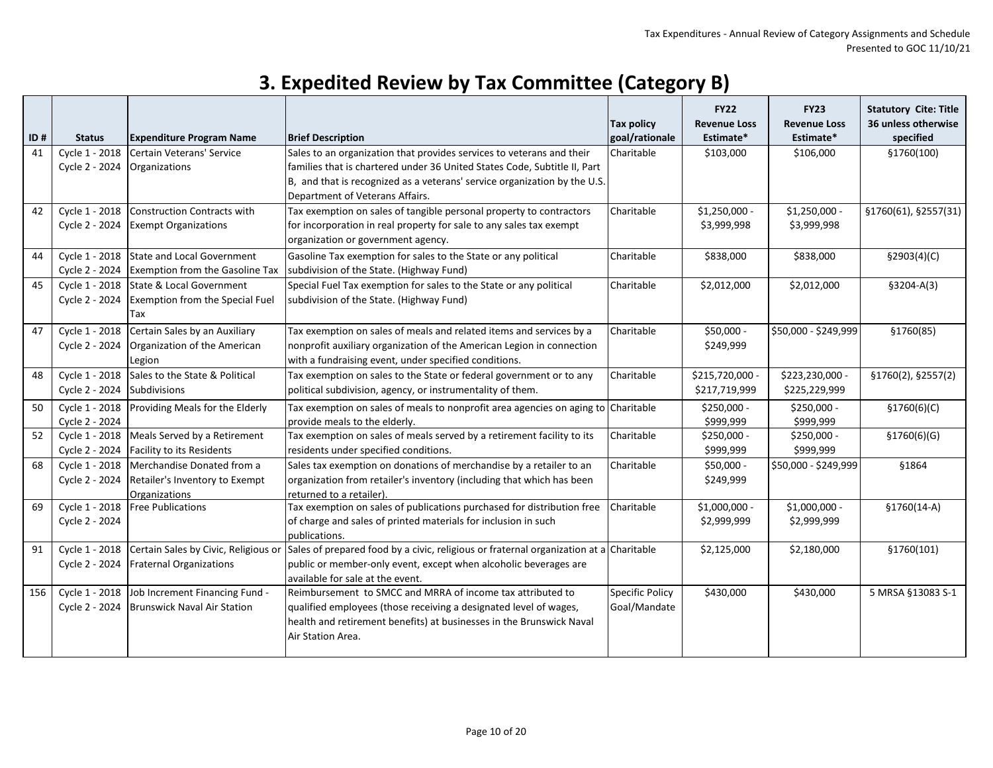| 3. Expedited Review by Tax Committee (Category B) |  |
|---------------------------------------------------|--|
|---------------------------------------------------|--|

| ID# | <b>Status</b>  | <b>Expenditure Program Name</b>        | <b>Brief Description</b>                                                                                | <b>Tax policy</b><br>goal/rationale | <b>FY22</b><br><b>Revenue Loss</b><br>Estimate* | <b>FY23</b><br><b>Revenue Loss</b><br>Estimate* | <b>Statutory Cite: Title</b><br>36 unless otherwise<br>specified |
|-----|----------------|----------------------------------------|---------------------------------------------------------------------------------------------------------|-------------------------------------|-------------------------------------------------|-------------------------------------------------|------------------------------------------------------------------|
| 41  | Cycle 1 - 2018 | Certain Veterans' Service              | Sales to an organization that provides services to veterans and their                                   | Charitable                          | \$103,000                                       | \$106,000                                       | §1760(100)                                                       |
|     | Cycle 2 - 2024 | Organizations                          | families that is chartered under 36 United States Code, Subtitle II, Part                               |                                     |                                                 |                                                 |                                                                  |
|     |                |                                        | B, and that is recognized as a veterans' service organization by the U.S.                               |                                     |                                                 |                                                 |                                                                  |
|     |                |                                        | Department of Veterans Affairs.                                                                         |                                     |                                                 |                                                 |                                                                  |
| 42  | Cycle 1 - 2018 | Construction Contracts with            | Tax exemption on sales of tangible personal property to contractors                                     | Charitable                          | $$1,250,000 -$                                  | $$1,250,000 -$                                  | §1760(61), §2557(31)                                             |
|     | Cycle 2 - 2024 | <b>Exempt Organizations</b>            | for incorporation in real property for sale to any sales tax exempt                                     |                                     | \$3,999,998                                     | \$3,999,998                                     |                                                                  |
|     |                |                                        | organization or government agency.                                                                      |                                     |                                                 |                                                 |                                                                  |
| 44  | Cycle 1 - 2018 | State and Local Government             | Gasoline Tax exemption for sales to the State or any political                                          | Charitable                          | \$838,000                                       | \$838,000                                       | \$2903(4)(C)                                                     |
|     | Cycle 2 - 2024 | <b>Exemption from the Gasoline Tax</b> | subdivision of the State. (Highway Fund)                                                                |                                     |                                                 |                                                 |                                                                  |
| 45  | Cycle 1 - 2018 | State & Local Government               | Special Fuel Tax exemption for sales to the State or any political                                      | Charitable                          | \$2,012,000                                     | \$2,012,000                                     | $$3204-A(3)$                                                     |
|     | Cycle 2 - 2024 | <b>Exemption from the Special Fuel</b> | subdivision of the State. (Highway Fund)                                                                |                                     |                                                 |                                                 |                                                                  |
|     |                | Tax                                    |                                                                                                         |                                     |                                                 |                                                 |                                                                  |
| 47  | Cycle 1 - 2018 | Certain Sales by an Auxiliary          | Tax exemption on sales of meals and related items and services by a                                     | Charitable                          | \$50,000 -                                      | \$50,000 - \$249,999                            | §1760(85)                                                        |
|     | Cycle 2 - 2024 | Organization of the American           | nonprofit auxiliary organization of the American Legion in connection                                   |                                     | \$249,999                                       |                                                 |                                                                  |
|     |                | Legion                                 | with a fundraising event, under specified conditions.                                                   |                                     |                                                 |                                                 |                                                                  |
| 48  | Cycle 1 - 2018 | Sales to the State & Political         | Tax exemption on sales to the State or federal government or to any                                     | Charitable                          | \$215,720,000 -                                 | \$223,230,000 -                                 | §1760(2), §2557(2)                                               |
|     | Cycle 2 - 2024 | Subdivisions                           | political subdivision, agency, or instrumentality of them.                                              |                                     | \$217,719,999                                   | \$225,229,999                                   |                                                                  |
| 50  | Cycle 1 - 2018 | Providing Meals for the Elderly        | Tax exemption on sales of meals to nonprofit area agencies on aging to                                  | Charitable                          | \$250,000 -                                     | \$250,000 -                                     | \$1760(6)(C)                                                     |
|     | Cycle 2 - 2024 |                                        | provide meals to the elderly.                                                                           |                                     | \$999,999                                       | \$999,999                                       |                                                                  |
| 52  | Cycle 1 - 2018 | Meals Served by a Retirement           | Tax exemption on sales of meals served by a retirement facility to its                                  | Charitable                          | \$250,000 -                                     | \$250,000 -                                     | \$1760(6)(G)                                                     |
|     | Cycle 2 - 2024 | <b>Facility to its Residents</b>       | residents under specified conditions.                                                                   |                                     | \$999,999                                       | \$999,999                                       |                                                                  |
| 68  | Cycle 1 - 2018 | Merchandise Donated from a             | Sales tax exemption on donations of merchandise by a retailer to an                                     | Charitable                          | \$50,000 -                                      | \$50,000 - \$249,999                            | §1864                                                            |
|     | Cycle 2 - 2024 | Retailer's Inventory to Exempt         | organization from retailer's inventory (including that which has been                                   |                                     | \$249,999                                       |                                                 |                                                                  |
|     |                | Organizations                          | returned to a retailer).                                                                                |                                     |                                                 |                                                 |                                                                  |
| 69  | Cycle 1 - 2018 | <b>Free Publications</b>               | Tax exemption on sales of publications purchased for distribution free                                  | Charitable                          | $$1,000,000 -$                                  | \$1,000,000 -                                   | $$1760(14-A)$                                                    |
|     | Cycle 2 - 2024 |                                        | of charge and sales of printed materials for inclusion in such                                          |                                     | \$2,999,999                                     | \$2,999,999                                     |                                                                  |
| 91  | Cycle 1 - 2018 | Certain Sales by Civic, Religious or   | publications.<br>Sales of prepared food by a civic, religious or fraternal organization at a Charitable |                                     | \$2,125,000                                     | \$2,180,000                                     | \$1760(101)                                                      |
|     | Cycle 2 - 2024 | <b>Fraternal Organizations</b>         | public or member-only event, except when alcoholic beverages are                                        |                                     |                                                 |                                                 |                                                                  |
|     |                |                                        | available for sale at the event.                                                                        |                                     |                                                 |                                                 |                                                                  |
| 156 | Cycle 1 - 2018 | Job Increment Financing Fund -         | Reimbursement to SMCC and MRRA of income tax attributed to                                              | <b>Specific Policy</b>              | \$430,000                                       | \$430,000                                       | 5 MRSA §13083 S-1                                                |
|     | Cycle 2 - 2024 | <b>Brunswick Naval Air Station</b>     | qualified employees (those receiving a designated level of wages,                                       | Goal/Mandate                        |                                                 |                                                 |                                                                  |
|     |                |                                        | health and retirement benefits) at businesses in the Brunswick Naval                                    |                                     |                                                 |                                                 |                                                                  |
|     |                |                                        | Air Station Area.                                                                                       |                                     |                                                 |                                                 |                                                                  |
|     |                |                                        |                                                                                                         |                                     |                                                 |                                                 |                                                                  |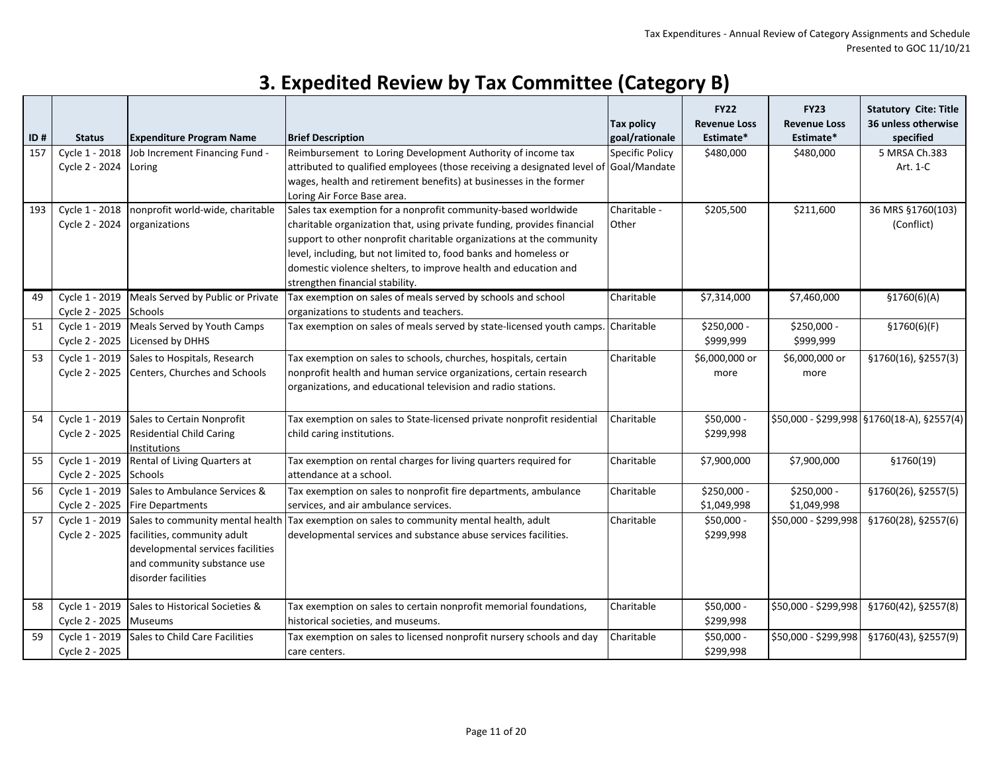| ID# | <b>Status</b>                            | <b>Expenditure Program Name</b>                                                                                                                            | <b>Brief Description</b>                                                                                                                                                                                                                                                                                                                                                                   | <b>Tax policy</b><br>goal/rationale    | <b>FY22</b><br><b>Revenue Loss</b><br>Estimate* | <b>FY23</b><br><b>Revenue Loss</b><br>Estimate* | <b>Statutory Cite: Title</b><br>36 unless otherwise<br>specified |
|-----|------------------------------------------|------------------------------------------------------------------------------------------------------------------------------------------------------------|--------------------------------------------------------------------------------------------------------------------------------------------------------------------------------------------------------------------------------------------------------------------------------------------------------------------------------------------------------------------------------------------|----------------------------------------|-------------------------------------------------|-------------------------------------------------|------------------------------------------------------------------|
| 157 | Cycle 1 - 2018<br>Cycle 2 - 2024         | Job Increment Financing Fund -<br>Loring                                                                                                                   | Reimbursement to Loring Development Authority of income tax<br>attributed to qualified employees (those receiving a designated level of<br>wages, health and retirement benefits) at businesses in the former<br>Loring Air Force Base area.                                                                                                                                               | <b>Specific Policy</b><br>Goal/Mandate | \$480,000                                       | \$480,000                                       | 5 MRSA Ch.383<br>Art. 1-C                                        |
| 193 | Cycle 1 - 2018<br>Cycle 2 - 2024         | nonprofit world-wide, charitable<br>organizations                                                                                                          | Sales tax exemption for a nonprofit community-based worldwide<br>charitable organization that, using private funding, provides financial<br>support to other nonprofit charitable organizations at the community<br>level, including, but not limited to, food banks and homeless or<br>domestic violence shelters, to improve health and education and<br>strengthen financial stability. | Charitable -<br>Other                  | \$205,500                                       | \$211,600                                       | 36 MRS §1760(103)<br>(Conflict)                                  |
| 49  | Cycle 2 - 2025 Schools                   | Cycle 1 - 2019 Meals Served by Public or Private                                                                                                           | Tax exemption on sales of meals served by schools and school<br>organizations to students and teachers.                                                                                                                                                                                                                                                                                    | Charitable                             | \$7,314,000                                     | \$7,460,000                                     | \$1760(6)(A)                                                     |
| 51  | Cycle 2 - 2025                           | Cycle 1 - 2019 Meals Served by Youth Camps<br>Licensed by DHHS                                                                                             | Tax exemption on sales of meals served by state-licensed youth camps.                                                                                                                                                                                                                                                                                                                      | Charitable                             | \$250,000 -<br>\$999,999                        | \$250,000 -<br>\$999,999                        | \$1760(6)(F)                                                     |
| 53  | Cycle 1 - 2019                           | Sales to Hospitals, Research<br>Cycle 2 - 2025 Centers, Churches and Schools                                                                               | Tax exemption on sales to schools, churches, hospitals, certain<br>nonprofit health and human service organizations, certain research<br>organizations, and educational television and radio stations.                                                                                                                                                                                     | Charitable                             | \$6,000,000 or<br>more                          | \$6,000,000 or<br>more                          | §1760(16), §2557(3)                                              |
| 54  |                                          | Cycle 1 - 2019 Sales to Certain Nonprofit<br>Cycle 2 - 2025 Residential Child Caring<br>Institutions                                                       | Tax exemption on sales to State-licensed private nonprofit residential<br>child caring institutions.                                                                                                                                                                                                                                                                                       | Charitable                             | \$50,000 -<br>\$299,998                         |                                                 | \$50,000 - \$299,998 §1760(18-A), §2557(4)                       |
| 55  | Cycle 1 - 2019<br>Cycle 2 - 2025 Schools | Rental of Living Quarters at                                                                                                                               | Tax exemption on rental charges for living quarters required for<br>attendance at a school.                                                                                                                                                                                                                                                                                                | Charitable                             | \$7,900,000                                     | \$7,900,000                                     | \$1760(19)                                                       |
| 56  | Cycle 2 - 2025                           | Cycle 1 - 2019 Sales to Ambulance Services &<br><b>Fire Departments</b>                                                                                    | Tax exemption on sales to nonprofit fire departments, ambulance<br>services, and air ambulance services.                                                                                                                                                                                                                                                                                   | Charitable                             | \$250,000 -<br>\$1,049,998                      | \$250,000 -<br>\$1,049,998                      | §1760(26), §2557(5)                                              |
| 57  | Cycle 1 - 2019<br>Cycle 2 - 2025         | Sales to community mental health<br>facilities, community adult<br>developmental services facilities<br>and community substance use<br>disorder facilities | Tax exemption on sales to community mental health, adult<br>developmental services and substance abuse services facilities.                                                                                                                                                                                                                                                                | Charitable                             | \$50,000 -<br>\$299,998                         | \$50,000 - \$299,998                            | §1760(28), §2557(6)                                              |
| 58  | Cycle 2 - 2025 Museums                   | Cycle 1 - 2019 Sales to Historical Societies &                                                                                                             | Tax exemption on sales to certain nonprofit memorial foundations,<br>historical societies, and museums.                                                                                                                                                                                                                                                                                    | Charitable                             | \$50,000 -<br>\$299,998                         | \$50,000 - \$299,998                            | §1760(42), §2557(8)                                              |
| 59  | Cycle 1 - 2019<br>Cycle 2 - 2025         | Sales to Child Care Facilities                                                                                                                             | Tax exemption on sales to licensed nonprofit nursery schools and day<br>care centers.                                                                                                                                                                                                                                                                                                      | Charitable                             | \$50,000 -<br>\$299,998                         | \$50,000 - \$299,998                            | §1760(43), §2557(9)                                              |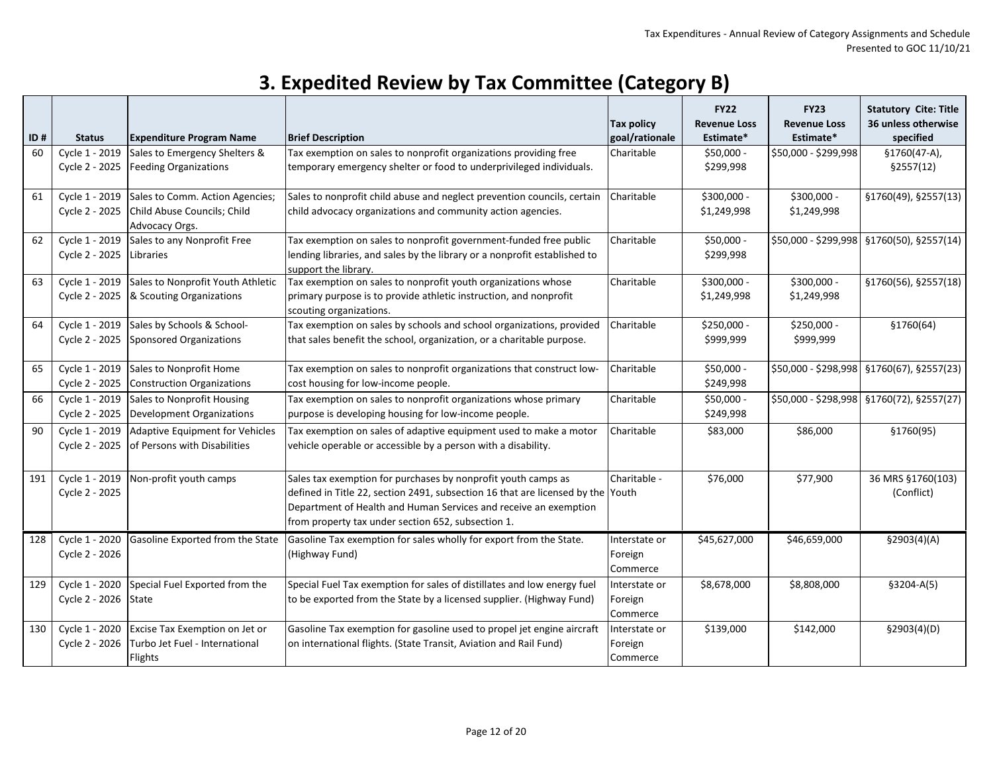| ID# | <b>Status</b>                    | <b>Expenditure Program Name</b>                                                                 | <b>Brief Description</b>                                                                                                                                                                                                                                                   | <b>Tax policy</b><br>goal/rationale  | <b>FY22</b><br><b>Revenue Loss</b><br>Estimate* | <b>FY23</b><br><b>Revenue Loss</b><br>Estimate* | <b>Statutory Cite: Title</b><br>36 unless otherwise<br>specified |
|-----|----------------------------------|-------------------------------------------------------------------------------------------------|----------------------------------------------------------------------------------------------------------------------------------------------------------------------------------------------------------------------------------------------------------------------------|--------------------------------------|-------------------------------------------------|-------------------------------------------------|------------------------------------------------------------------|
| 60  | Cycle 1 - 2019<br>Cycle 2 - 2025 | Sales to Emergency Shelters &<br><b>Feeding Organizations</b>                                   | Tax exemption on sales to nonprofit organizations providing free<br>temporary emergency shelter or food to underprivileged individuals.                                                                                                                                    | Charitable                           | \$50,000 -<br>\$299,998                         | \$50,000 - \$299,998                            | §1760(47-A),<br>\$2557(12)                                       |
| 61  | Cycle 2 - 2025                   | Cycle 1 - 2019 Sales to Comm. Action Agencies;<br>Child Abuse Councils; Child<br>Advocacy Orgs. | Sales to nonprofit child abuse and neglect prevention councils, certain<br>child advocacy organizations and community action agencies.                                                                                                                                     | Charitable                           | \$300,000 -<br>\$1,249,998                      | \$300,000 -<br>\$1,249,998                      | §1760(49), §2557(13)                                             |
| 62  | Cycle 2 - 2025                   | Cycle 1 - 2019 Sales to any Nonprofit Free<br>Libraries                                         | Tax exemption on sales to nonprofit government-funded free public<br>lending libraries, and sales by the library or a nonprofit established to<br>support the library.                                                                                                     | Charitable                           | \$50,000 -<br>\$299,998                         |                                                 | \$50,000 - \$299,998   \$1760(50), \$2557(14)                    |
| 63  | Cycle 1 - 2019<br>Cycle 2 - 2025 | Sales to Nonprofit Youth Athletic<br>& Scouting Organizations                                   | Tax exemption on sales to nonprofit youth organizations whose<br>primary purpose is to provide athletic instruction, and nonprofit<br>scouting organizations.                                                                                                              | Charitable                           | \$300,000 -<br>\$1,249,998                      | \$300,000 -<br>\$1,249,998                      | §1760(56), §2557(18)                                             |
| 64  | Cycle 2 - 2025                   | Cycle 1 - 2019 Sales by Schools & School-<br>Sponsored Organizations                            | Tax exemption on sales by schools and school organizations, provided<br>that sales benefit the school, organization, or a charitable purpose.                                                                                                                              | Charitable                           | \$250,000 -<br>\$999,999                        | \$250,000 -<br>\$999,999                        | \$1760(64)                                                       |
| 65  | Cycle 1 - 2019<br>Cycle 2 - 2025 | Sales to Nonprofit Home<br>Construction Organizations                                           | Tax exemption on sales to nonprofit organizations that construct low-<br>cost housing for low-income people.                                                                                                                                                               | Charitable                           | \$50,000 -<br>\$249,998                         |                                                 | \$50,000 - \$298,998   \$1760(67), \$2557(23)                    |
| 66  | Cycle 1 - 2019<br>Cycle 2 - 2025 | Sales to Nonprofit Housing<br><b>Development Organizations</b>                                  | Tax exemption on sales to nonprofit organizations whose primary<br>purpose is developing housing for low-income people.                                                                                                                                                    | Charitable                           | $$50,000 -$<br>\$249,998                        |                                                 | \$50,000 - \$298,998   \$1760(72), \$2557(27)                    |
| 90  | Cycle 1 - 2019<br>Cycle 2 - 2025 | Adaptive Equipment for Vehicles<br>of Persons with Disabilities                                 | Tax exemption on sales of adaptive equipment used to make a motor<br>vehicle operable or accessible by a person with a disability.                                                                                                                                         | Charitable                           | \$83,000                                        | \$86,000                                        | §1760(95)                                                        |
| 191 | Cycle 1 - 2019<br>Cycle 2 - 2025 | Non-profit youth camps                                                                          | Sales tax exemption for purchases by nonprofit youth camps as<br>defined in Title 22, section 2491, subsection 16 that are licensed by the Youth<br>Department of Health and Human Services and receive an exemption<br>from property tax under section 652, subsection 1. | Charitable -                         | \$76,000                                        | \$77,900                                        | 36 MRS §1760(103)<br>(Conflict)                                  |
| 128 | Cycle 1 - 2020<br>Cycle 2 - 2026 | Gasoline Exported from the State                                                                | Gasoline Tax exemption for sales wholly for export from the State.<br>(Highway Fund)                                                                                                                                                                                       | Interstate or<br>Foreign<br>Commerce | \$45,627,000                                    | \$46,659,000                                    | \$2903(4)(A)                                                     |
| 129 | Cycle 1 - 2020<br>Cycle 2 - 2026 | Special Fuel Exported from the<br>State                                                         | Special Fuel Tax exemption for sales of distillates and low energy fuel<br>to be exported from the State by a licensed supplier. (Highway Fund)                                                                                                                            | Interstate or<br>Foreign<br>Commerce | \$8,678,000                                     | \$8,808,000                                     | $$3204-A(5)$                                                     |
| 130 | Cycle 1 - 2020<br>Cycle 2 - 2026 | Excise Tax Exemption on Jet or<br>Turbo Jet Fuel - International<br>Flights                     | Gasoline Tax exemption for gasoline used to propel jet engine aircraft<br>on international flights. (State Transit, Aviation and Rail Fund)                                                                                                                                | Interstate or<br>Foreign<br>Commerce | \$139,000                                       | \$142,000                                       | \$2903(4)(D)                                                     |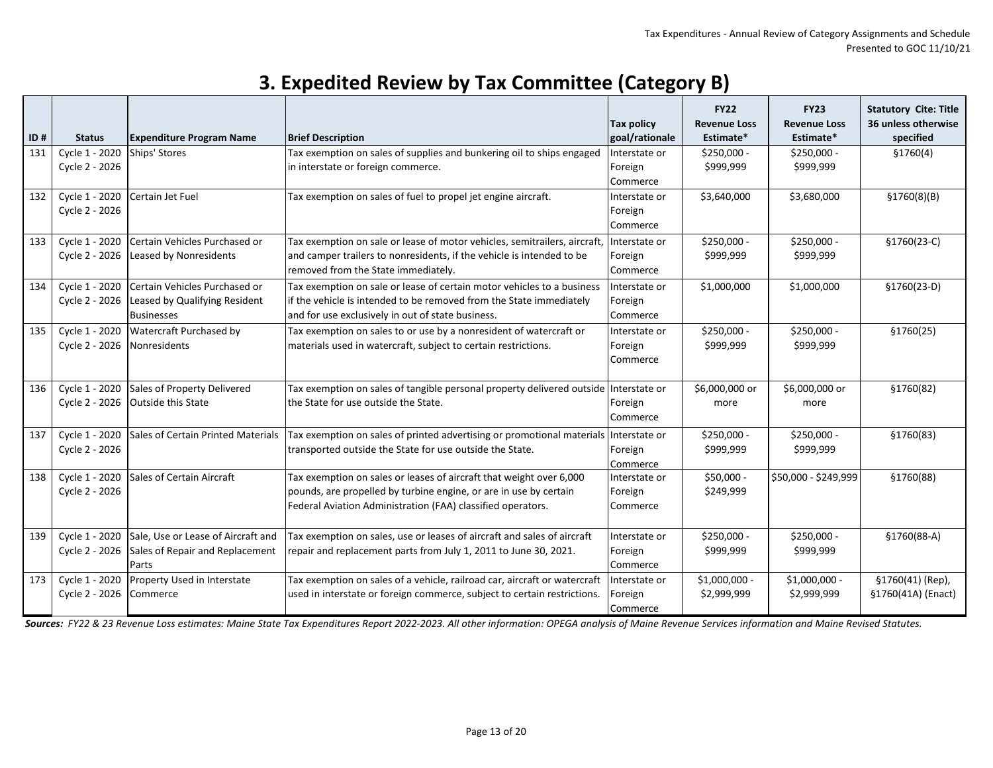| ID# | <b>Status</b>                    | <b>Expenditure Program Name</b>                                                     | <b>Brief Description</b>                                                                                                                                                                                | <b>Tax policy</b><br>goal/rationale  | <b>FY22</b><br><b>Revenue Loss</b><br>Estimate* | <b>FY23</b><br><b>Revenue Loss</b><br>Estimate* | <b>Statutory Cite: Title</b><br>36 unless otherwise<br>specified |
|-----|----------------------------------|-------------------------------------------------------------------------------------|---------------------------------------------------------------------------------------------------------------------------------------------------------------------------------------------------------|--------------------------------------|-------------------------------------------------|-------------------------------------------------|------------------------------------------------------------------|
| 131 | Cycle 1 - 2020<br>Cycle 2 - 2026 | Ships' Stores                                                                       | Tax exemption on sales of supplies and bunkering oil to ships engaged<br>in interstate or foreign commerce.                                                                                             | Interstate or<br>Foreign<br>Commerce | $$250,000 -$<br>\$999,999                       | \$250,000 -<br>\$999,999                        | \$1760(4)                                                        |
| 132 | Cycle 1 - 2020<br>Cycle 2 - 2026 | Certain Jet Fuel                                                                    | Tax exemption on sales of fuel to propel jet engine aircraft.                                                                                                                                           | Interstate or<br>Foreign<br>Commerce | \$3,640,000                                     | \$3,680,000                                     | \$1760(8)(B)                                                     |
| 133 | Cycle 1 - 2020<br>Cycle 2 - 2026 | Certain Vehicles Purchased or<br>Leased by Nonresidents                             | Tax exemption on sale or lease of motor vehicles, semitrailers, aircraft, Interstate or<br>and camper trailers to nonresidents, if the vehicle is intended to be<br>removed from the State immediately. | Foreign<br>Commerce                  | \$250,000 -<br>\$999,999                        | \$250,000 -<br>\$999,999                        | §1760(23-C)                                                      |
| 134 | Cycle 1 - 2020<br>Cycle 2 - 2026 | Certain Vehicles Purchased or<br>Leased by Qualifying Resident<br><b>Businesses</b> | Tax exemption on sale or lease of certain motor vehicles to a business<br>if the vehicle is intended to be removed from the State immediately<br>and for use exclusively in out of state business.      | Interstate or<br>Foreign<br>Commerce | \$1,000,000                                     | \$1,000,000                                     | $$1760(23-D)$                                                    |
| 135 | Cycle 1 - 2020<br>Cycle 2 - 2026 | Watercraft Purchased by<br><b>Nonresidents</b>                                      | Tax exemption on sales to or use by a nonresident of watercraft or<br>materials used in watercraft, subject to certain restrictions.                                                                    | Interstate or<br>Foreign<br>Commerce | \$250,000 -<br>\$999,999                        | \$250,000 -<br>\$999,999                        | \$1760(25)                                                       |
| 136 | Cycle 1 - 2020<br>Cycle 2 - 2026 | <b>Sales of Property Delivered</b><br><b>Outside this State</b>                     | Tax exemption on sales of tangible personal property delivered outside   Interstate or<br>lthe State for use outside the State.                                                                         | Foreign<br>Commerce                  | \$6,000,000 or<br>more                          | \$6,000,000 or<br>more                          | \$1760(82)                                                       |
| 137 | Cycle 1 - 2020<br>Cycle 2 - 2026 | Sales of Certain Printed Materials                                                  | Tax exemption on sales of printed advertising or promotional materials Interstate or<br>transported outside the State for use outside the State.                                                        | Foreign<br>Commerce                  | \$250,000 -<br>\$999,999                        | \$250,000 -<br>\$999,999                        | \$1760(83)                                                       |
| 138 | Cycle 1 - 2020<br>Cycle 2 - 2026 | Sales of Certain Aircraft                                                           | Tax exemption on sales or leases of aircraft that weight over 6,000<br>pounds, are propelled by turbine engine, or are in use by certain<br>Federal Aviation Administration (FAA) classified operators. | Interstate or<br>Foreign<br>Commerce | $$50,000 -$<br>\$249,999                        | \$50,000 - \$249,999                            | §1760(88)                                                        |
| 139 | Cycle 1 - 2020<br>Cycle 2 - 2026 | Sale, Use or Lease of Aircraft and<br>Sales of Repair and Replacement<br>Parts      | Tax exemption on sales, use or leases of aircraft and sales of aircraft<br>repair and replacement parts from July 1, 2011 to June 30, 2021.                                                             | Interstate or<br>Foreign<br>Commerce | \$250,000 -<br>\$999,999                        | \$250,000 -<br>\$999,999                        | §1760(88-A)                                                      |
| 173 | Cycle 1 - 2020<br>Cycle 2 - 2026 | Property Used in Interstate<br>Commerce                                             | Tax exemption on sales of a vehicle, railroad car, aircraft or watercraft<br>used in interstate or foreign commerce, subject to certain restrictions.                                                   | Interstate or<br>Foreign<br>Commerce | $$1,000,000$ -<br>\$2,999,999                   | $$1,000,000 -$<br>\$2,999,999                   | §1760(41) (Rep),<br>§1760(41A) (Enact)                           |

*Sources: FY22 & 23 Revenue Loss estimates: Maine State Tax Expenditures Report 2022-2023. All other information: OPEGA analysis of Maine Revenue Services information and Maine Revised Statutes.*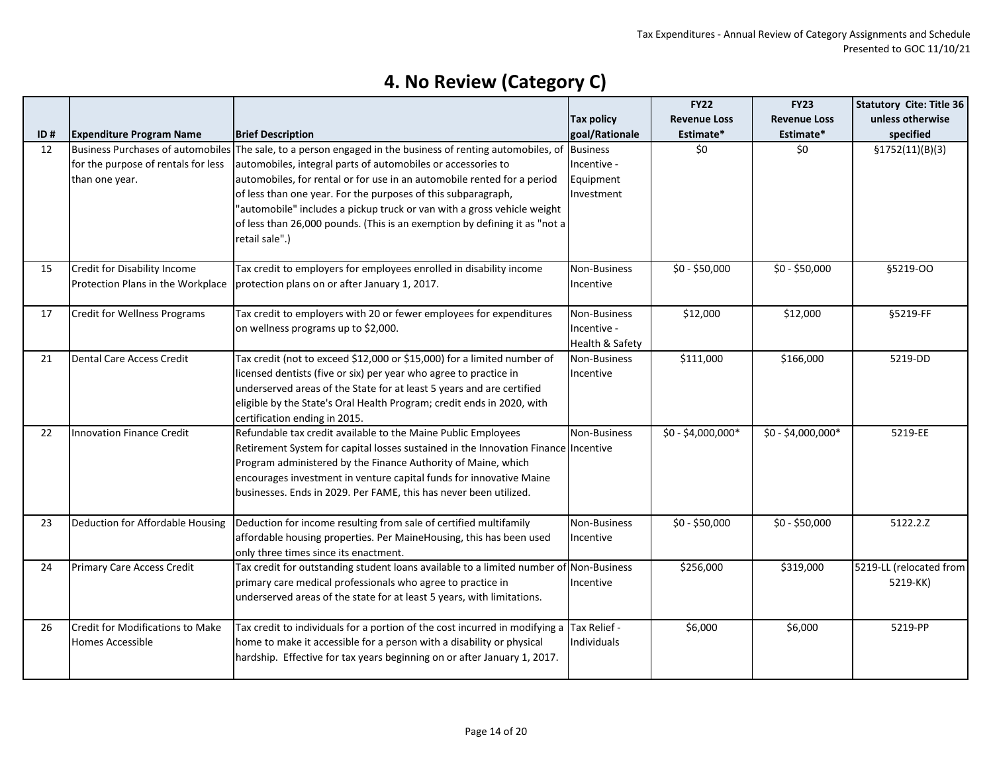|     |                                          |                                                                                          |                   | <b>FY22</b>         | <b>FY23</b>         | <b>Statutory Cite: Title 36</b> |
|-----|------------------------------------------|------------------------------------------------------------------------------------------|-------------------|---------------------|---------------------|---------------------------------|
|     |                                          |                                                                                          | <b>Tax policy</b> | <b>Revenue Loss</b> | <b>Revenue Loss</b> | unless otherwise                |
| ID# | <b>Expenditure Program Name</b>          | <b>Brief Description</b>                                                                 | goal/Rationale    | Estimate*           | Estimate*           | specified                       |
| 12  | <b>Business Purchases of automobiles</b> | The sale, to a person engaged in the business of renting automobiles, of Business        |                   | \$0                 | \$0                 | \$1752(11)(B)(3)                |
|     | for the purpose of rentals for less      | automobiles, integral parts of automobiles or accessories to                             | Incentive -       |                     |                     |                                 |
|     | than one year.                           | automobiles, for rental or for use in an automobile rented for a period                  | Equipment         |                     |                     |                                 |
|     |                                          | of less than one year. For the purposes of this subparagraph,                            | Investment        |                     |                     |                                 |
|     |                                          | "automobile" includes a pickup truck or van with a gross vehicle weight                  |                   |                     |                     |                                 |
|     |                                          | of less than 26,000 pounds. (This is an exemption by defining it as "not a               |                   |                     |                     |                                 |
|     |                                          | retail sale".)                                                                           |                   |                     |                     |                                 |
|     |                                          |                                                                                          |                   |                     |                     |                                 |
| 15  | Credit for Disability Income             | Tax credit to employers for employees enrolled in disability income                      | Non-Business      | $$0 - $50,000$      | $$0 - $50,000$      | §5219-00                        |
|     | Protection Plans in the Workplace        | protection plans on or after January 1, 2017.                                            | Incentive         |                     |                     |                                 |
| 17  | <b>Credit for Wellness Programs</b>      | Tax credit to employers with 20 or fewer employees for expenditures                      | Non-Business      | \$12,000            | \$12,000            | §5219-FF                        |
|     |                                          | on wellness programs up to \$2,000.                                                      | Incentive -       |                     |                     |                                 |
|     |                                          |                                                                                          | Health & Safety   |                     |                     |                                 |
| 21  | Dental Care Access Credit                | Tax credit (not to exceed \$12,000 or \$15,000) for a limited number of                  | Non-Business      | \$111,000           | \$166,000           | 5219-DD                         |
|     |                                          | licensed dentists (five or six) per year who agree to practice in                        | Incentive         |                     |                     |                                 |
|     |                                          | underserved areas of the State for at least 5 years and are certified                    |                   |                     |                     |                                 |
|     |                                          | eligible by the State's Oral Health Program; credit ends in 2020, with                   |                   |                     |                     |                                 |
|     |                                          | certification ending in 2015.                                                            |                   |                     |                     |                                 |
| 22  | <b>Innovation Finance Credit</b>         | Refundable tax credit available to the Maine Public Employees                            | Non-Business      | \$0 - \$4,000,000*  | \$0 - \$4,000,000*  | 5219-EE                         |
|     |                                          | Retirement System for capital losses sustained in the Innovation Finance Incentive       |                   |                     |                     |                                 |
|     |                                          | Program administered by the Finance Authority of Maine, which                            |                   |                     |                     |                                 |
|     |                                          | encourages investment in venture capital funds for innovative Maine                      |                   |                     |                     |                                 |
|     |                                          | businesses. Ends in 2029. Per FAME, this has never been utilized.                        |                   |                     |                     |                                 |
|     |                                          |                                                                                          |                   |                     |                     |                                 |
| 23  | Deduction for Affordable Housing         | Deduction for income resulting from sale of certified multifamily                        | Non-Business      | \$0 - \$50,000      | $$0 - $50,000$      | 5122.2.Z                        |
|     |                                          | affordable housing properties. Per MaineHousing, this has been used                      | Incentive         |                     |                     |                                 |
|     |                                          | only three times since its enactment.                                                    |                   |                     |                     |                                 |
| 24  | <b>Primary Care Access Credit</b>        | Tax credit for outstanding student loans available to a limited number of Non-Business   |                   | \$256,000           | \$319,000           | 5219-LL (relocated from         |
|     |                                          | primary care medical professionals who agree to practice in                              | Incentive         |                     |                     | 5219-KK)                        |
|     |                                          | underserved areas of the state for at least 5 years, with limitations.                   |                   |                     |                     |                                 |
| 26  | Credit for Modifications to Make         | Tax credit to individuals for a portion of the cost incurred in modifying a Tax Relief - |                   | \$6,000             | \$6,000             | 5219-PP                         |
|     | Homes Accessible                         | home to make it accessible for a person with a disability or physical                    | Individuals       |                     |                     |                                 |
|     |                                          | hardship. Effective for tax years beginning on or after January 1, 2017.                 |                   |                     |                     |                                 |
|     |                                          |                                                                                          |                   |                     |                     |                                 |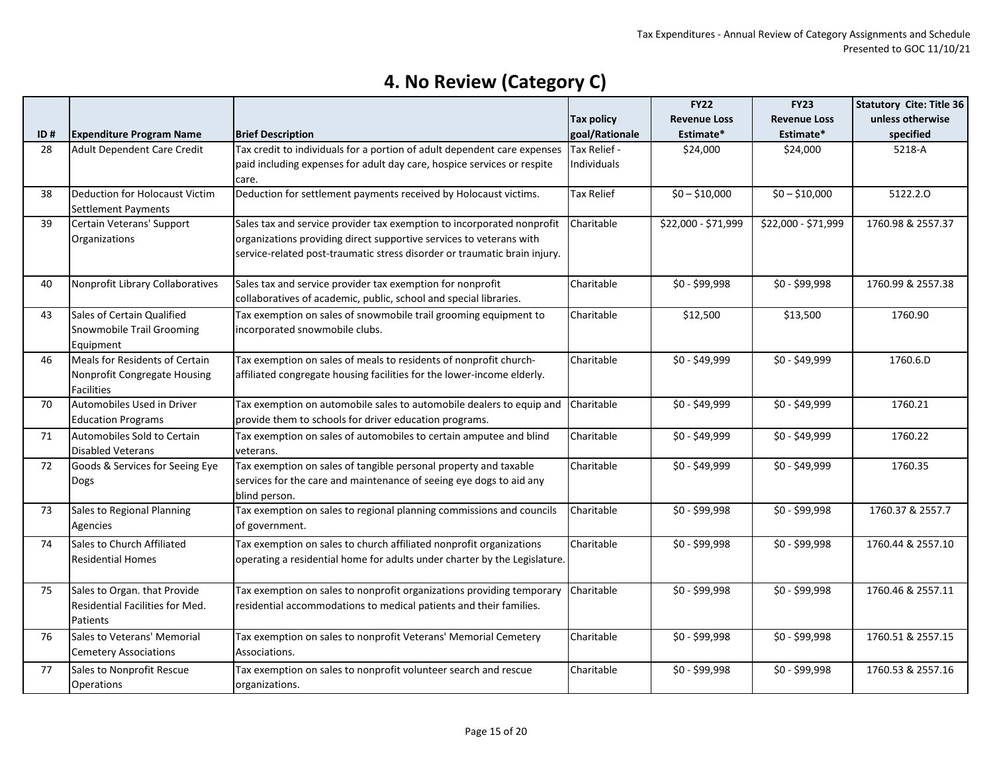| unless otherwise<br><b>Tax policy</b><br><b>Revenue Loss</b><br><b>Revenue Loss</b><br><b>Brief Description</b><br>goal/Rationale<br>Estimate*<br>Estimate*<br>specified<br>ID#<br><b>Expenditure Program Name</b><br>Tax credit to individuals for a portion of adult dependent care expenses<br>Adult Dependent Care Credit<br>Tax Relief -<br>5218-A<br>28<br>\$24,000<br>\$24,000<br>Individuals<br>paid including expenses for adult day care, hospice services or respite<br>care.<br>Deduction for settlement payments received by Holocaust victims.<br>Deduction for Holocaust Victim<br>$$0 - $10,000$<br>$$0 - $10,000$<br>5122.2.0<br>38<br><b>Tax Relief</b><br><b>Settlement Payments</b><br>39<br>Certain Veterans' Support<br>Sales tax and service provider tax exemption to incorporated nonprofit<br>Charitable<br>\$22,000 - \$71,999<br>\$22,000 - \$71,999<br>1760.98 & 2557.37<br>organizations providing direct supportive services to veterans with<br>Organizations<br>service-related post-traumatic stress disorder or traumatic brain injury.<br>Charitable<br>\$0 - \$99,998<br>\$0 - \$99,998<br>40<br>Nonprofit Library Collaboratives<br>Sales tax and service provider tax exemption for nonprofit<br>1760.99 & 2557.38 |  |  | <b>FY22</b> | <b>FY23</b> | <b>Statutory Cite: Title 36</b> |
|-----------------------------------------------------------------------------------------------------------------------------------------------------------------------------------------------------------------------------------------------------------------------------------------------------------------------------------------------------------------------------------------------------------------------------------------------------------------------------------------------------------------------------------------------------------------------------------------------------------------------------------------------------------------------------------------------------------------------------------------------------------------------------------------------------------------------------------------------------------------------------------------------------------------------------------------------------------------------------------------------------------------------------------------------------------------------------------------------------------------------------------------------------------------------------------------------------------------------------------------------------------|--|--|-------------|-------------|---------------------------------|
|                                                                                                                                                                                                                                                                                                                                                                                                                                                                                                                                                                                                                                                                                                                                                                                                                                                                                                                                                                                                                                                                                                                                                                                                                                                           |  |  |             |             |                                 |
|                                                                                                                                                                                                                                                                                                                                                                                                                                                                                                                                                                                                                                                                                                                                                                                                                                                                                                                                                                                                                                                                                                                                                                                                                                                           |  |  |             |             |                                 |
|                                                                                                                                                                                                                                                                                                                                                                                                                                                                                                                                                                                                                                                                                                                                                                                                                                                                                                                                                                                                                                                                                                                                                                                                                                                           |  |  |             |             |                                 |
|                                                                                                                                                                                                                                                                                                                                                                                                                                                                                                                                                                                                                                                                                                                                                                                                                                                                                                                                                                                                                                                                                                                                                                                                                                                           |  |  |             |             |                                 |
|                                                                                                                                                                                                                                                                                                                                                                                                                                                                                                                                                                                                                                                                                                                                                                                                                                                                                                                                                                                                                                                                                                                                                                                                                                                           |  |  |             |             |                                 |
|                                                                                                                                                                                                                                                                                                                                                                                                                                                                                                                                                                                                                                                                                                                                                                                                                                                                                                                                                                                                                                                                                                                                                                                                                                                           |  |  |             |             |                                 |
|                                                                                                                                                                                                                                                                                                                                                                                                                                                                                                                                                                                                                                                                                                                                                                                                                                                                                                                                                                                                                                                                                                                                                                                                                                                           |  |  |             |             |                                 |
|                                                                                                                                                                                                                                                                                                                                                                                                                                                                                                                                                                                                                                                                                                                                                                                                                                                                                                                                                                                                                                                                                                                                                                                                                                                           |  |  |             |             |                                 |
|                                                                                                                                                                                                                                                                                                                                                                                                                                                                                                                                                                                                                                                                                                                                                                                                                                                                                                                                                                                                                                                                                                                                                                                                                                                           |  |  |             |             |                                 |
|                                                                                                                                                                                                                                                                                                                                                                                                                                                                                                                                                                                                                                                                                                                                                                                                                                                                                                                                                                                                                                                                                                                                                                                                                                                           |  |  |             |             |                                 |
|                                                                                                                                                                                                                                                                                                                                                                                                                                                                                                                                                                                                                                                                                                                                                                                                                                                                                                                                                                                                                                                                                                                                                                                                                                                           |  |  |             |             |                                 |
|                                                                                                                                                                                                                                                                                                                                                                                                                                                                                                                                                                                                                                                                                                                                                                                                                                                                                                                                                                                                                                                                                                                                                                                                                                                           |  |  |             |             |                                 |
| collaboratives of academic, public, school and special libraries.                                                                                                                                                                                                                                                                                                                                                                                                                                                                                                                                                                                                                                                                                                                                                                                                                                                                                                                                                                                                                                                                                                                                                                                         |  |  |             |             |                                 |
| Sales of Certain Qualified<br>Tax exemption on sales of snowmobile trail grooming equipment to<br>Charitable<br>\$12,500<br>\$13,500<br>1760.90<br>43                                                                                                                                                                                                                                                                                                                                                                                                                                                                                                                                                                                                                                                                                                                                                                                                                                                                                                                                                                                                                                                                                                     |  |  |             |             |                                 |
| Snowmobile Trail Grooming<br>incorporated snowmobile clubs.                                                                                                                                                                                                                                                                                                                                                                                                                                                                                                                                                                                                                                                                                                                                                                                                                                                                                                                                                                                                                                                                                                                                                                                               |  |  |             |             |                                 |
| Equipment<br>Meals for Residents of Certain                                                                                                                                                                                                                                                                                                                                                                                                                                                                                                                                                                                                                                                                                                                                                                                                                                                                                                                                                                                                                                                                                                                                                                                                               |  |  |             |             |                                 |
| Tax exemption on sales of meals to residents of nonprofit church-<br>\$0 - \$49,999<br>1760.6.D<br>Charitable<br>\$0 - \$49,999<br>46                                                                                                                                                                                                                                                                                                                                                                                                                                                                                                                                                                                                                                                                                                                                                                                                                                                                                                                                                                                                                                                                                                                     |  |  |             |             |                                 |
| affiliated congregate housing facilities for the lower-income elderly.<br>Nonprofit Congregate Housing<br><b>Facilities</b>                                                                                                                                                                                                                                                                                                                                                                                                                                                                                                                                                                                                                                                                                                                                                                                                                                                                                                                                                                                                                                                                                                                               |  |  |             |             |                                 |
| Automobiles Used in Driver<br>Tax exemption on automobile sales to automobile dealers to equip and<br>$$0 - $49,999$<br>1760.21<br>70<br>Charitable<br>$$0 - $49,999$                                                                                                                                                                                                                                                                                                                                                                                                                                                                                                                                                                                                                                                                                                                                                                                                                                                                                                                                                                                                                                                                                     |  |  |             |             |                                 |
| <b>Education Programs</b><br>provide them to schools for driver education programs.                                                                                                                                                                                                                                                                                                                                                                                                                                                                                                                                                                                                                                                                                                                                                                                                                                                                                                                                                                                                                                                                                                                                                                       |  |  |             |             |                                 |
| 71<br>Automobiles Sold to Certain<br>Tax exemption on sales of automobiles to certain amputee and blind<br>Charitable<br>1760.22<br>$$0 - $49,999$<br>$$0 - $49,999$                                                                                                                                                                                                                                                                                                                                                                                                                                                                                                                                                                                                                                                                                                                                                                                                                                                                                                                                                                                                                                                                                      |  |  |             |             |                                 |
| <b>Disabled Veterans</b><br>veterans.                                                                                                                                                                                                                                                                                                                                                                                                                                                                                                                                                                                                                                                                                                                                                                                                                                                                                                                                                                                                                                                                                                                                                                                                                     |  |  |             |             |                                 |
| Tax exemption on sales of tangible personal property and taxable<br>72<br>Goods & Services for Seeing Eye<br>Charitable<br>\$0 - \$49,999<br>\$0 - \$49,999<br>1760.35                                                                                                                                                                                                                                                                                                                                                                                                                                                                                                                                                                                                                                                                                                                                                                                                                                                                                                                                                                                                                                                                                    |  |  |             |             |                                 |
| services for the care and maintenance of seeing eye dogs to aid any<br>Dogs                                                                                                                                                                                                                                                                                                                                                                                                                                                                                                                                                                                                                                                                                                                                                                                                                                                                                                                                                                                                                                                                                                                                                                               |  |  |             |             |                                 |
| blind person.                                                                                                                                                                                                                                                                                                                                                                                                                                                                                                                                                                                                                                                                                                                                                                                                                                                                                                                                                                                                                                                                                                                                                                                                                                             |  |  |             |             |                                 |
| Tax exemption on sales to regional planning commissions and councils<br>Sales to Regional Planning<br>Charitable<br>\$0 - \$99,998<br>\$0 - \$99,998<br>1760.37 & 2557.7<br>73                                                                                                                                                                                                                                                                                                                                                                                                                                                                                                                                                                                                                                                                                                                                                                                                                                                                                                                                                                                                                                                                            |  |  |             |             |                                 |
| of government.<br>Agencies                                                                                                                                                                                                                                                                                                                                                                                                                                                                                                                                                                                                                                                                                                                                                                                                                                                                                                                                                                                                                                                                                                                                                                                                                                |  |  |             |             |                                 |
| Tax exemption on sales to church affiliated nonprofit organizations<br>74<br>Sales to Church Affiliated<br>Charitable<br>$$0 - $99,998$<br>$$0 - $99,998$                                                                                                                                                                                                                                                                                                                                                                                                                                                                                                                                                                                                                                                                                                                                                                                                                                                                                                                                                                                                                                                                                                 |  |  |             |             | 1760.44 & 2557.10               |
| operating a residential home for adults under charter by the Legislature.<br><b>Residential Homes</b>                                                                                                                                                                                                                                                                                                                                                                                                                                                                                                                                                                                                                                                                                                                                                                                                                                                                                                                                                                                                                                                                                                                                                     |  |  |             |             |                                 |
|                                                                                                                                                                                                                                                                                                                                                                                                                                                                                                                                                                                                                                                                                                                                                                                                                                                                                                                                                                                                                                                                                                                                                                                                                                                           |  |  |             |             |                                 |
| Sales to Organ. that Provide<br>Tax exemption on sales to nonprofit organizations providing temporary<br>Charitable<br>\$0 - \$99,998<br>\$0 - \$99,998<br>75                                                                                                                                                                                                                                                                                                                                                                                                                                                                                                                                                                                                                                                                                                                                                                                                                                                                                                                                                                                                                                                                                             |  |  |             |             | 1760.46 & 2557.11               |
| <b>Residential Facilities for Med.</b><br>residential accommodations to medical patients and their families.                                                                                                                                                                                                                                                                                                                                                                                                                                                                                                                                                                                                                                                                                                                                                                                                                                                                                                                                                                                                                                                                                                                                              |  |  |             |             |                                 |
| Patients                                                                                                                                                                                                                                                                                                                                                                                                                                                                                                                                                                                                                                                                                                                                                                                                                                                                                                                                                                                                                                                                                                                                                                                                                                                  |  |  |             |             |                                 |
| Sales to Veterans' Memorial<br>Charitable<br>\$0 - \$99,998<br>76<br>Tax exemption on sales to nonprofit Veterans' Memorial Cemetery<br>\$0 - \$99,998                                                                                                                                                                                                                                                                                                                                                                                                                                                                                                                                                                                                                                                                                                                                                                                                                                                                                                                                                                                                                                                                                                    |  |  |             |             | 1760.51 & 2557.15               |
| <b>Cemetery Associations</b><br>Associations.                                                                                                                                                                                                                                                                                                                                                                                                                                                                                                                                                                                                                                                                                                                                                                                                                                                                                                                                                                                                                                                                                                                                                                                                             |  |  |             |             |                                 |
| 77<br>Sales to Nonprofit Rescue<br>Tax exemption on sales to nonprofit volunteer search and rescue<br>\$0 - \$99,998<br>\$0 - \$99,998<br>Charitable                                                                                                                                                                                                                                                                                                                                                                                                                                                                                                                                                                                                                                                                                                                                                                                                                                                                                                                                                                                                                                                                                                      |  |  |             |             | 1760.53 & 2557.16               |
| Operations<br>organizations.                                                                                                                                                                                                                                                                                                                                                                                                                                                                                                                                                                                                                                                                                                                                                                                                                                                                                                                                                                                                                                                                                                                                                                                                                              |  |  |             |             |                                 |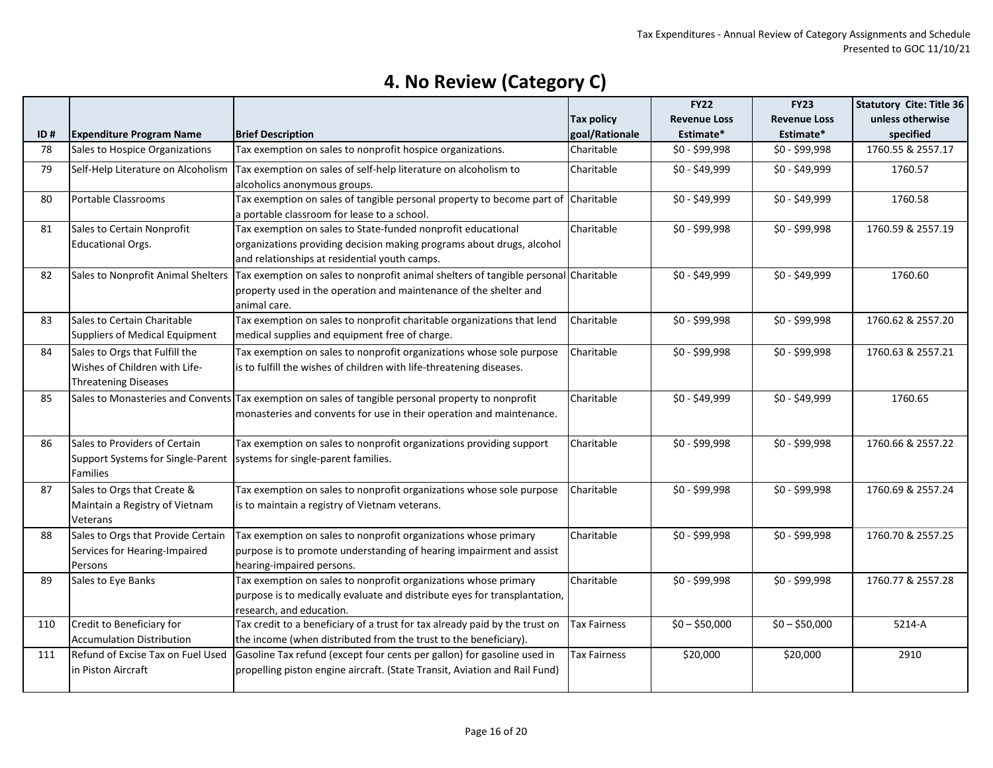|     |                                       |                                                                                                                        |                     | <b>FY22</b>         | <b>FY23</b>         | <b>Statutory Cite: Title 36</b> |
|-----|---------------------------------------|------------------------------------------------------------------------------------------------------------------------|---------------------|---------------------|---------------------|---------------------------------|
|     |                                       |                                                                                                                        | <b>Tax policy</b>   | <b>Revenue Loss</b> | <b>Revenue Loss</b> | unless otherwise                |
| ID# | <b>Expenditure Program Name</b>       | <b>Brief Description</b>                                                                                               | goal/Rationale      | Estimate*           | Estimate*           | specified                       |
| 78  | Sales to Hospice Organizations        | Tax exemption on sales to nonprofit hospice organizations.                                                             | Charitable          | \$0 - \$99,998      | $$0 - $99,998$      | 1760.55 & 2557.17               |
| 79  | Self-Help Literature on Alcoholism    | Tax exemption on sales of self-help literature on alcoholism to<br>alcoholics anonymous groups.                        | Charitable          | \$0 - \$49,999      | \$0 - \$49,999      | 1760.57                         |
|     |                                       |                                                                                                                        |                     |                     |                     |                                 |
| 80  | Portable Classrooms                   | Tax exemption on sales of tangible personal property to become part of<br>a portable classroom for lease to a school.  | Charitable          | $$0 - $49,999$      | \$0 - \$49,999      | 1760.58                         |
| 81  | Sales to Certain Nonprofit            | Tax exemption on sales to State-funded nonprofit educational                                                           | Charitable          | \$0 - \$99,998      | \$0 - \$99,998      | 1760.59 & 2557.19               |
|     | <b>Educational Orgs.</b>              | organizations providing decision making programs about drugs, alcohol<br>and relationships at residential youth camps. |                     |                     |                     |                                 |
| 82  | Sales to Nonprofit Animal Shelters    | Tax exemption on sales to nonprofit animal shelters of tangible personal Charitable                                    |                     | \$0 - \$49,999      | \$0 - \$49,999      | 1760.60                         |
|     |                                       | property used in the operation and maintenance of the shelter and                                                      |                     |                     |                     |                                 |
|     |                                       | animal care.                                                                                                           |                     |                     |                     |                                 |
| 83  | Sales to Certain Charitable           | Tax exemption on sales to nonprofit charitable organizations that lend                                                 | Charitable          | \$0 - \$99,998      | \$0 - \$99,998      | 1760.62 & 2557.20               |
|     | <b>Suppliers of Medical Equipment</b> | medical supplies and equipment free of charge.                                                                         |                     |                     |                     |                                 |
| 84  | Sales to Orgs that Fulfill the        | Tax exemption on sales to nonprofit organizations whose sole purpose                                                   | Charitable          | \$0 - \$99,998      | \$0 - \$99,998      | 1760.63 & 2557.21               |
|     | Wishes of Children with Life-         | is to fulfill the wishes of children with life-threatening diseases.                                                   |                     |                     |                     |                                 |
|     | <b>Threatening Diseases</b>           |                                                                                                                        |                     |                     |                     |                                 |
| 85  |                                       | Sales to Monasteries and Convents Tax exemption on sales of tangible personal property to nonprofit                    | Charitable          | \$0 - \$49,999      | \$0 - \$49,999      | 1760.65                         |
|     |                                       | monasteries and convents for use in their operation and maintenance.                                                   |                     |                     |                     |                                 |
|     |                                       |                                                                                                                        |                     |                     |                     |                                 |
| 86  | Sales to Providers of Certain         | Tax exemption on sales to nonprofit organizations providing support                                                    | Charitable          | $$0 - $99,998$      | \$0 - \$99,998      | 1760.66 & 2557.22               |
|     | Support Systems for Single-Parent     | systems for single-parent families.                                                                                    |                     |                     |                     |                                 |
|     | <b>Families</b>                       |                                                                                                                        |                     |                     |                     |                                 |
| 87  | Sales to Orgs that Create &           | Tax exemption on sales to nonprofit organizations whose sole purpose                                                   | Charitable          | \$0 - \$99,998      | \$0 - \$99,998      | 1760.69 & 2557.24               |
|     | Maintain a Registry of Vietnam        | is to maintain a registry of Vietnam veterans.                                                                         |                     |                     |                     |                                 |
|     | Veterans                              |                                                                                                                        |                     |                     |                     |                                 |
| 88  | Sales to Orgs that Provide Certain    | Tax exemption on sales to nonprofit organizations whose primary                                                        | Charitable          | \$0 - \$99,998      | \$0 - \$99,998      | 1760.70 & 2557.25               |
|     | Services for Hearing-Impaired         | purpose is to promote understanding of hearing impairment and assist                                                   |                     |                     |                     |                                 |
|     | Persons                               | hearing-impaired persons.                                                                                              |                     |                     |                     |                                 |
| 89  | Sales to Eye Banks                    | Tax exemption on sales to nonprofit organizations whose primary                                                        | Charitable          | \$0 - \$99,998      | \$0 - \$99,998      | 1760.77 & 2557.28               |
|     |                                       | purpose is to medically evaluate and distribute eyes for transplantation,                                              |                     |                     |                     |                                 |
|     |                                       | research, and education.                                                                                               |                     |                     |                     |                                 |
| 110 | Credit to Beneficiary for             | Tax credit to a beneficiary of a trust for tax already paid by the trust on                                            | <b>Tax Fairness</b> | $$0 - $50,000$      | $$0 - $50,000$      | 5214-A                          |
|     | <b>Accumulation Distribution</b>      | the income (when distributed from the trust to the beneficiary).                                                       |                     |                     |                     |                                 |
| 111 | Refund of Excise Tax on Fuel Used     | Gasoline Tax refund (except four cents per gallon) for gasoline used in                                                | Tax Fairness        | \$20,000            | \$20,000            | 2910                            |
|     | in Piston Aircraft                    | propelling piston engine aircraft. (State Transit, Aviation and Rail Fund)                                             |                     |                     |                     |                                 |
|     |                                       |                                                                                                                        |                     |                     |                     |                                 |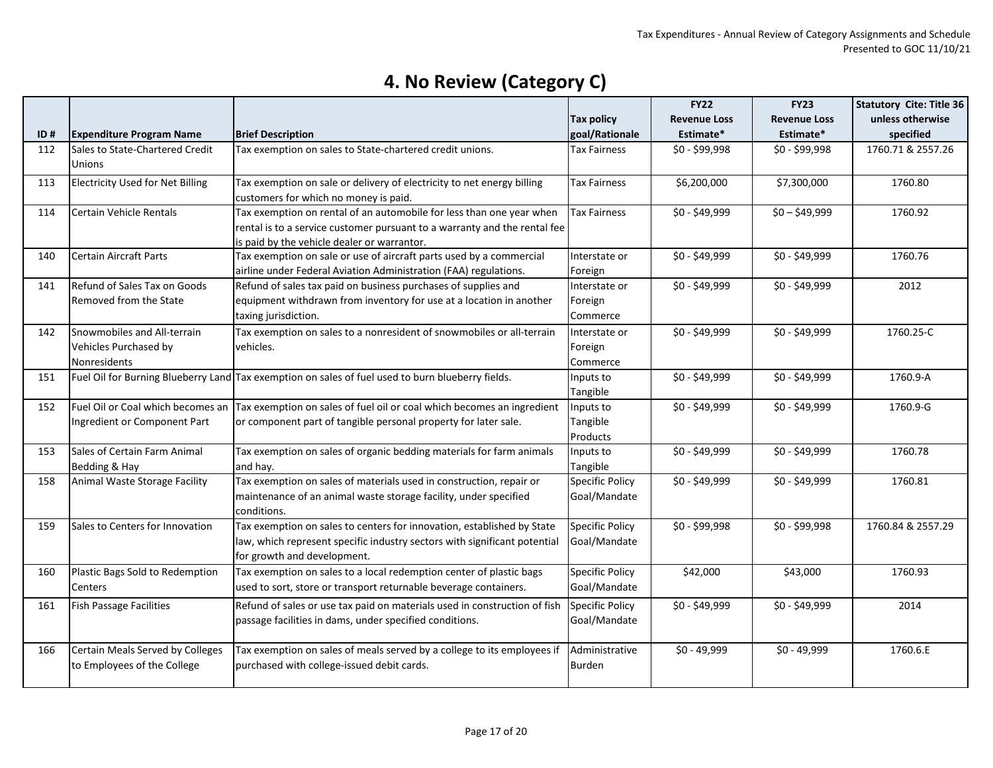|     |                                                                      |                                                                                                                                                                                                  |                                        | <b>FY22</b>         | <b>FY23</b>         | <b>Statutory Cite: Title 36</b> |
|-----|----------------------------------------------------------------------|--------------------------------------------------------------------------------------------------------------------------------------------------------------------------------------------------|----------------------------------------|---------------------|---------------------|---------------------------------|
|     |                                                                      |                                                                                                                                                                                                  | <b>Tax policy</b>                      | <b>Revenue Loss</b> | <b>Revenue Loss</b> | unless otherwise                |
| ID# | <b>Expenditure Program Name</b>                                      | <b>Brief Description</b>                                                                                                                                                                         | goal/Rationale                         | Estimate*           | Estimate*           | specified                       |
| 112 | Sales to State-Chartered Credit<br><b>Unions</b>                     | Tax exemption on sales to State-chartered credit unions.                                                                                                                                         | Tax Fairness                           | \$0 - \$99,998      | \$0 - \$99,998      | 1760.71 & 2557.26               |
| 113 | <b>Electricity Used for Net Billing</b>                              | Tax exemption on sale or delivery of electricity to net energy billing<br>customers for which no money is paid.                                                                                  | Tax Fairness                           | \$6,200,000         | \$7,300,000         | 1760.80                         |
| 114 | Certain Vehicle Rentals                                              | Tax exemption on rental of an automobile for less than one year when<br>rental is to a service customer pursuant to a warranty and the rental fee<br>is paid by the vehicle dealer or warrantor. | <b>Tax Fairness</b>                    | \$0 - \$49,999      | $$0 - $49,999$      | 1760.92                         |
| 140 | Certain Aircraft Parts                                               | Tax exemption on sale or use of aircraft parts used by a commercial<br>airline under Federal Aviation Administration (FAA) regulations.                                                          | Interstate or<br>Foreign               | \$0 - \$49,999      | \$0 - \$49,999      | 1760.76                         |
| 141 | Refund of Sales Tax on Goods<br>Removed from the State               | Refund of sales tax paid on business purchases of supplies and<br>equipment withdrawn from inventory for use at a location in another<br>taxing jurisdiction.                                    | Interstate or<br>Foreign<br>Commerce   | \$0 - \$49,999      | \$0 - \$49,999      | 2012                            |
| 142 | Snowmobiles and All-terrain<br>Vehicles Purchased by<br>Nonresidents | Tax exemption on sales to a nonresident of snowmobiles or all-terrain<br>vehicles.                                                                                                               | Interstate or<br>Foreign<br>Commerce   | \$0 - \$49,999      | \$0 - \$49,999      | 1760.25-C                       |
| 151 |                                                                      | Fuel Oil for Burning Blueberry Land Tax exemption on sales of fuel used to burn blueberry fields.                                                                                                | Inputs to<br>Tangible                  | \$0 - \$49,999      | \$0 - \$49,999      | 1760.9-A                        |
| 152 | Fuel Oil or Coal which becomes an<br>Ingredient or Component Part    | Tax exemption on sales of fuel oil or coal which becomes an ingredient<br>or component part of tangible personal property for later sale.                                                        | Inputs to<br>Tangible<br>Products      | \$0 - \$49,999      | \$0 - \$49,999      | 1760.9-G                        |
| 153 | Sales of Certain Farm Animal<br>Bedding & Hay                        | Tax exemption on sales of organic bedding materials for farm animals<br>and hay.                                                                                                                 | Inputs to<br>Tangible                  | \$0 - \$49,999      | \$0 - \$49,999      | 1760.78                         |
| 158 | Animal Waste Storage Facility                                        | Tax exemption on sales of materials used in construction, repair or<br>maintenance of an animal waste storage facility, under specified<br>conditions.                                           | <b>Specific Policy</b><br>Goal/Mandate | \$0 - \$49,999      | \$0 - \$49,999      | 1760.81                         |
| 159 | Sales to Centers for Innovation                                      | Tax exemption on sales to centers for innovation, established by State<br>law, which represent specific industry sectors with significant potential<br>for growth and development.               | <b>Specific Policy</b><br>Goal/Mandate | \$0 - \$99,998      | \$0 - \$99,998      | 1760.84 & 2557.29               |
| 160 | Plastic Bags Sold to Redemption<br>Centers                           | Tax exemption on sales to a local redemption center of plastic bags<br>used to sort, store or transport returnable beverage containers.                                                          | <b>Specific Policy</b><br>Goal/Mandate | \$42,000            | \$43,000            | 1760.93                         |
| 161 | <b>Fish Passage Facilities</b>                                       | Refund of sales or use tax paid on materials used in construction of fish<br>passage facilities in dams, under specified conditions.                                                             | <b>Specific Policy</b><br>Goal/Mandate | \$0 - \$49,999      | \$0 - \$49,999      | 2014                            |
| 166 | Certain Meals Served by Colleges<br>to Employees of the College      | Tax exemption on sales of meals served by a college to its employees if<br>purchased with college-issued debit cards.                                                                            | Administrative<br><b>Burden</b>        | $$0 - 49,999$       | \$0 - 49,999        | 1760.6.E                        |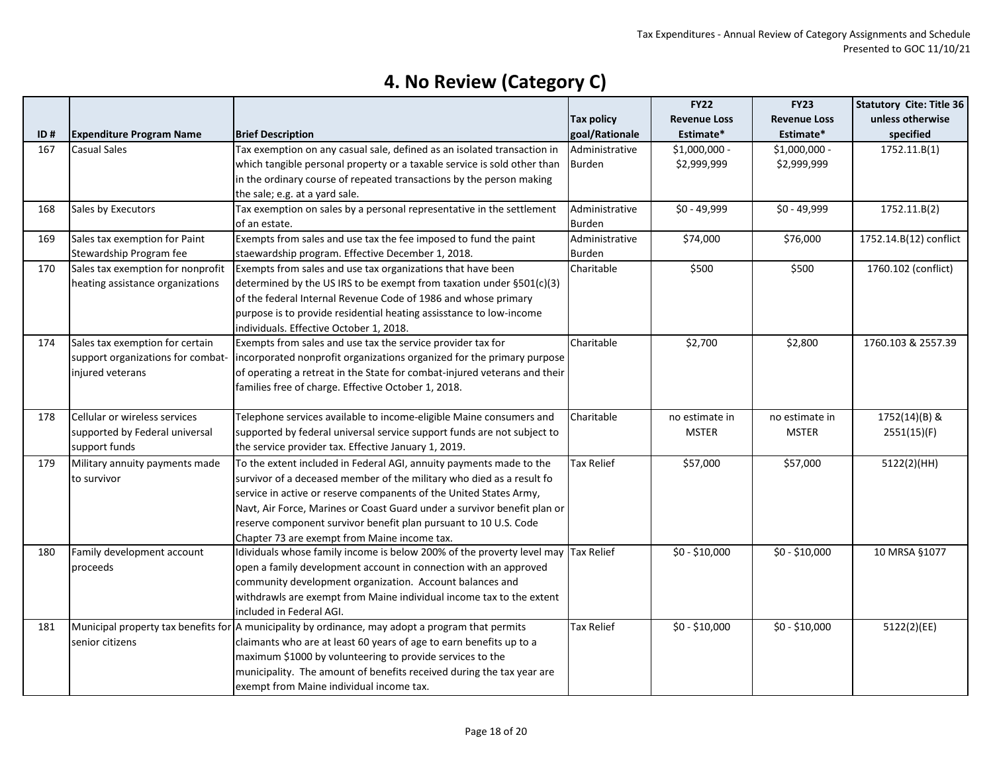|     |                                   |                                                                                                   |                   | <b>FY22</b>         | <b>FY23</b>         | <b>Statutory Cite: Title 36</b> |
|-----|-----------------------------------|---------------------------------------------------------------------------------------------------|-------------------|---------------------|---------------------|---------------------------------|
|     |                                   |                                                                                                   | <b>Tax policy</b> | <b>Revenue Loss</b> | <b>Revenue Loss</b> | unless otherwise                |
| ID# | <b>Expenditure Program Name</b>   | <b>Brief Description</b>                                                                          | goal/Rationale    | Estimate*           | Estimate*           | specified                       |
| 167 | <b>Casual Sales</b>               | Tax exemption on any casual sale, defined as an isolated transaction in                           | Administrative    | \$1,000,000 -       | \$1,000,000 -       | 1752.11.B(1)                    |
|     |                                   | which tangible personal property or a taxable service is sold other than                          | <b>Burden</b>     | \$2,999,999         | \$2,999,999         |                                 |
|     |                                   | in the ordinary course of repeated transactions by the person making                              |                   |                     |                     |                                 |
|     |                                   | the sale; e.g. at a yard sale.                                                                    |                   |                     |                     |                                 |
| 168 | Sales by Executors                | Tax exemption on sales by a personal representative in the settlement                             | Administrative    | \$0 - 49,999        | \$0 - 49,999        | 1752.11.B(2)                    |
|     |                                   | of an estate.                                                                                     | <b>Burden</b>     |                     |                     |                                 |
| 169 | Sales tax exemption for Paint     | Exempts from sales and use tax the fee imposed to fund the paint                                  | Administrative    | \$74,000            | \$76,000            | 1752.14.B(12) conflict          |
|     | Stewardship Program fee           | staewardship program. Effective December 1, 2018.                                                 | <b>Burden</b>     |                     |                     |                                 |
| 170 | Sales tax exemption for nonprofit | Exempts from sales and use tax organizations that have been                                       | Charitable        | \$500               | \$500               | 1760.102 (conflict)             |
|     | heating assistance organizations  | determined by the US IRS to be exempt from taxation under §501(c)(3)                              |                   |                     |                     |                                 |
|     |                                   | of the federal Internal Revenue Code of 1986 and whose primary                                    |                   |                     |                     |                                 |
|     |                                   | purpose is to provide residential heating assisstance to low-income                               |                   |                     |                     |                                 |
|     |                                   | individuals. Effective October 1, 2018.                                                           |                   |                     |                     |                                 |
| 174 | Sales tax exemption for certain   | Exempts from sales and use tax the service provider tax for                                       | Charitable        | \$2,700             | \$2,800             | 1760.103 & 2557.39              |
|     | support organizations for combat- | incorporated nonprofit organizations organized for the primary purpose                            |                   |                     |                     |                                 |
|     | injured veterans                  | of operating a retreat in the State for combat-injured veterans and their                         |                   |                     |                     |                                 |
|     |                                   | families free of charge. Effective October 1, 2018.                                               |                   |                     |                     |                                 |
|     |                                   |                                                                                                   |                   |                     |                     |                                 |
| 178 | Cellular or wireless services     | Telephone services available to income-eligible Maine consumers and                               | Charitable        | no estimate in      | no estimate in      | 1752(14)(B) &                   |
|     | supported by Federal universal    | supported by federal universal service support funds are not subject to                           |                   | <b>MSTER</b>        | <b>MSTER</b>        | 2551(15)(F)                     |
|     | support funds                     | the service provider tax. Effective January 1, 2019.                                              |                   |                     |                     |                                 |
| 179 | Military annuity payments made    | To the extent included in Federal AGI, annuity payments made to the                               | <b>Tax Relief</b> | \$57,000            | \$57,000            | 5122(2)(HH)                     |
|     | to survivor                       | survivor of a deceased member of the military who died as a result fo                             |                   |                     |                     |                                 |
|     |                                   | service in active or reserve companents of the United States Army,                                |                   |                     |                     |                                 |
|     |                                   | Navt, Air Force, Marines or Coast Guard under a survivor benefit plan or                          |                   |                     |                     |                                 |
|     |                                   | reserve component survivor benefit plan pursuant to 10 U.S. Code                                  |                   |                     |                     |                                 |
|     |                                   | Chapter 73 are exempt from Maine income tax.                                                      |                   |                     |                     |                                 |
| 180 | Family development account        | Idividuals whose family income is below 200% of the proverty level may Tax Relief                 |                   | $$0 - $10,000$      | $$0 - $10,000$      | 10 MRSA §1077                   |
|     | proceeds                          | open a family development account in connection with an approved                                  |                   |                     |                     |                                 |
|     |                                   | community development organization. Account balances and                                          |                   |                     |                     |                                 |
|     |                                   | withdrawls are exempt from Maine individual income tax to the extent                              |                   |                     |                     |                                 |
|     |                                   | included in Federal AGI.                                                                          |                   |                     |                     |                                 |
| 181 |                                   | Municipal property tax benefits for A municipality by ordinance, may adopt a program that permits | Tax Relief        | $$0 - $10,000$      | $$0 - $10,000$      | 5122(2)(EE)                     |
|     | senior citizens                   | claimants who are at least 60 years of age to earn benefits up to a                               |                   |                     |                     |                                 |
|     |                                   | maximum \$1000 by volunteering to provide services to the                                         |                   |                     |                     |                                 |
|     |                                   | municipality. The amount of benefits received during the tax year are                             |                   |                     |                     |                                 |
|     |                                   | exempt from Maine individual income tax.                                                          |                   |                     |                     |                                 |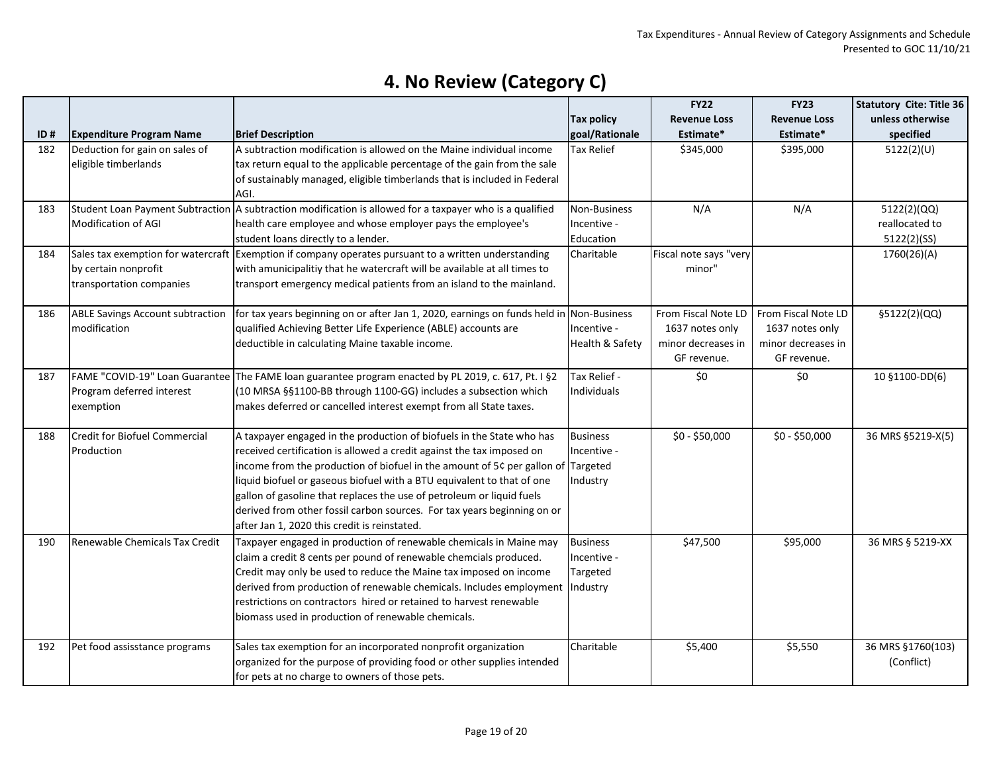|     |                                         |                                                                                                          |                            | <b>FY22</b>            | <b>FY23</b>         | <b>Statutory Cite: Title 36</b> |
|-----|-----------------------------------------|----------------------------------------------------------------------------------------------------------|----------------------------|------------------------|---------------------|---------------------------------|
|     |                                         |                                                                                                          | <b>Tax policy</b>          | <b>Revenue Loss</b>    | <b>Revenue Loss</b> | unless otherwise                |
| ID# | <b>Expenditure Program Name</b>         | <b>Brief Description</b>                                                                                 | goal/Rationale             | Estimate*              | Estimate*           | specified                       |
| 182 | Deduction for gain on sales of          | A subtraction modification is allowed on the Maine individual income                                     | <b>Tax Relief</b>          | \$345,000              | \$395,000           | 5122(2)(U)                      |
|     | eligible timberlands                    | tax return equal to the applicable percentage of the gain from the sale                                  |                            |                        |                     |                                 |
|     |                                         | of sustainably managed, eligible timberlands that is included in Federal                                 |                            |                        |                     |                                 |
|     |                                         | AGI.                                                                                                     |                            |                        |                     |                                 |
| 183 |                                         | Student Loan Payment Subtraction A subtraction modification is allowed for a taxpayer who is a qualified | Non-Business               | N/A                    | N/A                 | 5122(2)(QQ)                     |
|     | <b>Modification of AGI</b>              | health care employee and whose employer pays the employee's                                              | Incentive -                |                        |                     | reallocated to                  |
|     |                                         | student loans directly to a lender.                                                                      | Education                  |                        |                     | 5122(2)(SS)                     |
| 184 |                                         | Sales tax exemption for watercraft Exemption if company operates pursuant to a written understanding     | Charitable                 | Fiscal note says "very |                     | 1760(26)(A)                     |
|     | by certain nonprofit                    | with amunicipalitiy that he watercraft will be available at all times to                                 |                            | minor"                 |                     |                                 |
|     | transportation companies                | transport emergency medical patients from an island to the mainland.                                     |                            |                        |                     |                                 |
|     |                                         |                                                                                                          |                            |                        |                     |                                 |
| 186 | <b>ABLE Savings Account subtraction</b> | for tax years beginning on or after Jan 1, 2020, earnings on funds held in Non-Business                  |                            | From Fiscal Note LD    | From Fiscal Note LD | §5122(2)(QQ)                    |
|     | modification                            | qualified Achieving Better Life Experience (ABLE) accounts are                                           | Incentive -                | 1637 notes only        | 1637 notes only     |                                 |
|     |                                         | deductible in calculating Maine taxable income.                                                          | <b>Health &amp; Safety</b> | minor decreases in     | minor decreases in  |                                 |
|     |                                         |                                                                                                          |                            | GF revenue.            | GF revenue.         |                                 |
| 187 | FAME "COVID-19" Loan Guarantee          | The FAME loan guarantee program enacted by PL 2019, c. 617, Pt. I §2                                     | Tax Relief -               | \$0                    | \$0                 | 10 §1100-DD(6)                  |
|     | Program deferred interest               | (10 MRSA §§1100-BB through 1100-GG) includes a subsection which                                          | Individuals                |                        |                     |                                 |
|     | exemption                               | makes deferred or cancelled interest exempt from all State taxes.                                        |                            |                        |                     |                                 |
|     |                                         |                                                                                                          |                            |                        |                     |                                 |
| 188 | Credit for Biofuel Commercial           | A taxpayer engaged in the production of biofuels in the State who has                                    | <b>Business</b>            | $$0 - $50,000$         | $$0 - $50,000$      | 36 MRS §5219-X(5)               |
|     | Production                              | received certification is allowed a credit against the tax imposed on                                    | Incentive -                |                        |                     |                                 |
|     |                                         | income from the production of biofuel in the amount of 5¢ per gallon of Targeted                         |                            |                        |                     |                                 |
|     |                                         | liquid biofuel or gaseous biofuel with a BTU equivalent to that of one                                   | Industry                   |                        |                     |                                 |
|     |                                         | gallon of gasoline that replaces the use of petroleum or liquid fuels                                    |                            |                        |                     |                                 |
|     |                                         | derived from other fossil carbon sources. For tax years beginning on or                                  |                            |                        |                     |                                 |
|     |                                         | after Jan 1, 2020 this credit is reinstated.                                                             |                            |                        |                     |                                 |
| 190 | Renewable Chemicals Tax Credit          | Taxpayer engaged in production of renewable chemicals in Maine may                                       | <b>Business</b>            | \$47,500               | \$95,000            | 36 MRS § 5219-XX                |
|     |                                         | claim a credit 8 cents per pound of renewable chemcials produced.                                        | Incentive -                |                        |                     |                                 |
|     |                                         | Credit may only be used to reduce the Maine tax imposed on income                                        | Targeted                   |                        |                     |                                 |
|     |                                         | derived from production of renewable chemicals. Includes employment  Industry                            |                            |                        |                     |                                 |
|     |                                         | restrictions on contractors hired or retained to harvest renewable                                       |                            |                        |                     |                                 |
|     |                                         | biomass used in production of renewable chemicals.                                                       |                            |                        |                     |                                 |
|     |                                         |                                                                                                          |                            |                        |                     |                                 |
| 192 | Pet food assisstance programs           | Sales tax exemption for an incorporated nonprofit organization                                           | Charitable                 | \$5,400                | \$5,550             | 36 MRS §1760(103)               |
|     |                                         | organized for the purpose of providing food or other supplies intended                                   |                            |                        |                     | (Conflict)                      |
|     |                                         | for pets at no charge to owners of those pets.                                                           |                            |                        |                     |                                 |